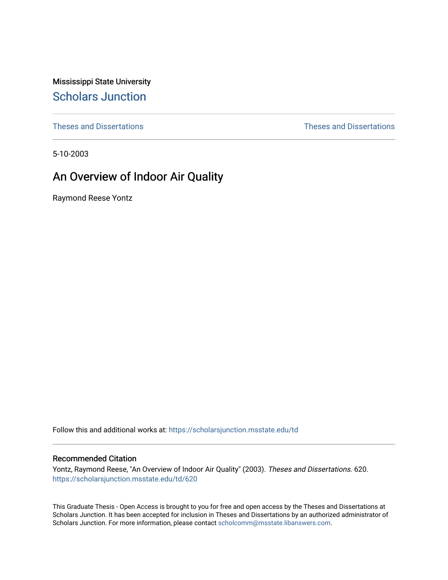Mississippi State University [Scholars Junction](https://scholarsjunction.msstate.edu/) 

[Theses and Dissertations](https://scholarsjunction.msstate.edu/td) [Theses and Dissertations](https://scholarsjunction.msstate.edu/theses-dissertations) 

5-10-2003

# An Overview of Indoor Air Quality

Raymond Reese Yontz

Follow this and additional works at: [https://scholarsjunction.msstate.edu/td](https://scholarsjunction.msstate.edu/td?utm_source=scholarsjunction.msstate.edu%2Ftd%2F620&utm_medium=PDF&utm_campaign=PDFCoverPages) 

#### Recommended Citation

Yontz, Raymond Reese, "An Overview of Indoor Air Quality" (2003). Theses and Dissertations. 620. [https://scholarsjunction.msstate.edu/td/620](https://scholarsjunction.msstate.edu/td/620?utm_source=scholarsjunction.msstate.edu%2Ftd%2F620&utm_medium=PDF&utm_campaign=PDFCoverPages) 

This Graduate Thesis - Open Access is brought to you for free and open access by the Theses and Dissertations at Scholars Junction. It has been accepted for inclusion in Theses and Dissertations by an authorized administrator of Scholars Junction. For more information, please contact [scholcomm@msstate.libanswers.com.](mailto:scholcomm@msstate.libanswers.com)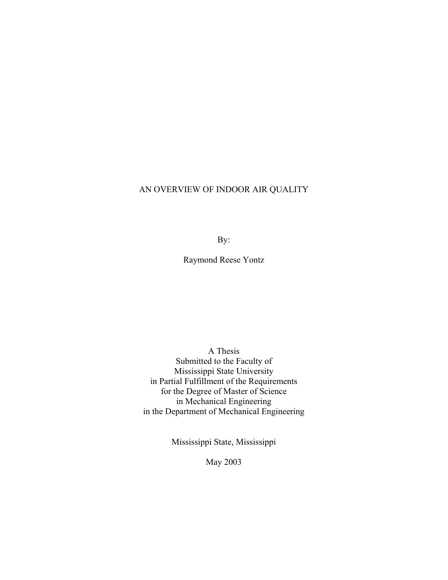## AN OVERVIEW OF INDOOR AIR QUALITY

By:

Raymond Reese Yontz

A Thesis Submitted to the Faculty of Mississippi State University in Partial Fulfillment of the Requirements for the Degree of Master of Science in Mechanical Engineering in the Department of Mechanical Engineering

Mississippi State, Mississippi

May 2003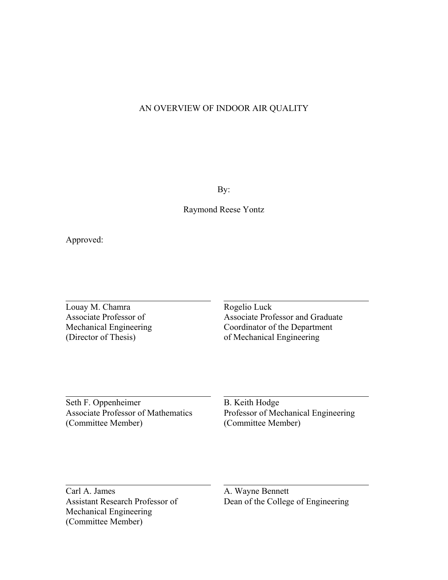### AN OVERVIEW OF INDOOR AIR QUALITY

By:

Raymond Reese Yontz

Approved:

Louay M. Chamra<br>
Associate Professor of Associate Prof

Associate Professor and Graduate Mechanical Engineering Coordinator of the Department (Director of Thesis) of Mechanical Engineering

Seth F. Oppenheimer B. Keith Hodge (Committee Member) (Committee Member)

Associate Professor of Mathematics Professor of Mechanical Engineering

Carl A. James A. Wayne Bennett Mechanical Engineering (Committee Member)

Assistant Research Professor of Dean of the College of Engineering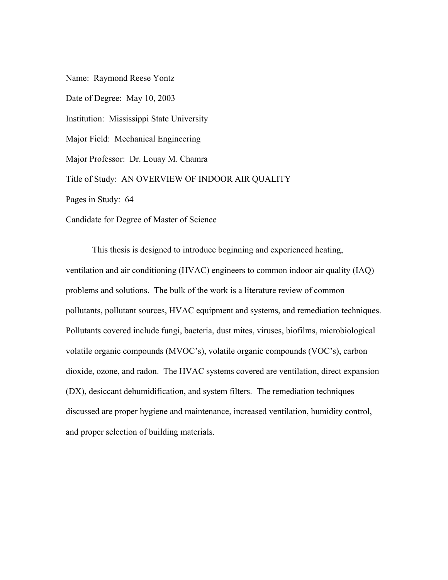Name: Raymond Reese Yontz Date of Degree: May 10, 2003 Institution: Mississippi State University Major Field: Mechanical Engineering Major Professor: Dr. Louay M. Chamra Title of Study: AN OVERVIEW OF INDOOR AIR QUALITY Pages in Study: 64 Candidate for Degree of Master of Science

This thesis is designed to introduce beginning and experienced heating, ventilation and air conditioning (HVAC) engineers to common indoor air quality (IAQ) problems and solutions. The bulk of the work is a literature review of common pollutants, pollutant sources, HVAC equipment and systems, and remediation techniques. Pollutants covered include fungi, bacteria, dust mites, viruses, biofilms, microbiological volatile organic compounds (MVOC's), volatile organic compounds (VOC's), carbon dioxide, ozone, and radon. The HVAC systems covered are ventilation, direct expansion (DX), desiccant dehumidification, and system filters. The remediation techniques discussed are proper hygiene and maintenance, increased ventilation, humidity control, and proper selection of building materials.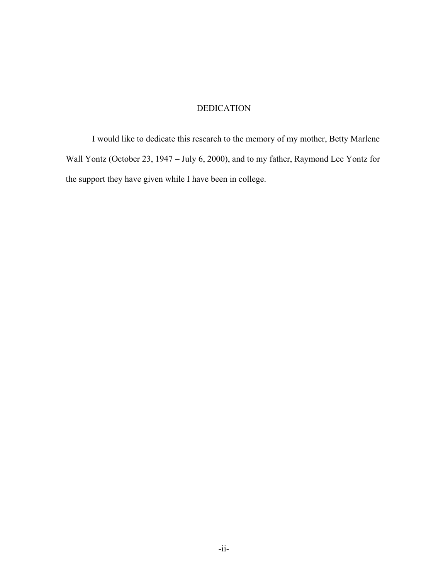## DEDICATION

I would like to dedicate this research to the memory of my mother, Betty Marlene Wall Yontz (October 23, 1947 – July 6, 2000), and to my father, Raymond Lee Yontz for the support they have given while I have been in college.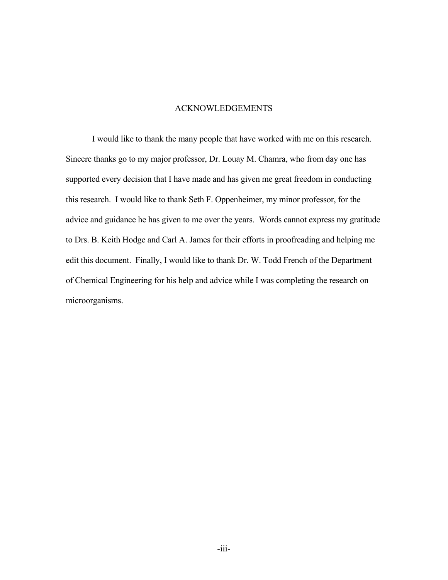#### ACKNOWLEDGEMENTS

I would like to thank the many people that have worked with me on this research. Sincere thanks go to my major professor, Dr. Louay M. Chamra, who from day one has supported every decision that I have made and has given me great freedom in conducting this research. I would like to thank Seth F. Oppenheimer, my minor professor, for the advice and guidance he has given to me over the years. Words cannot express my gratitude to Drs. B. Keith Hodge and Carl A. James for their efforts in proofreading and helping me edit this document. Finally, I would like to thank Dr. W. Todd French of the Department of Chemical Engineering for his help and advice while I was completing the research on microorganisms.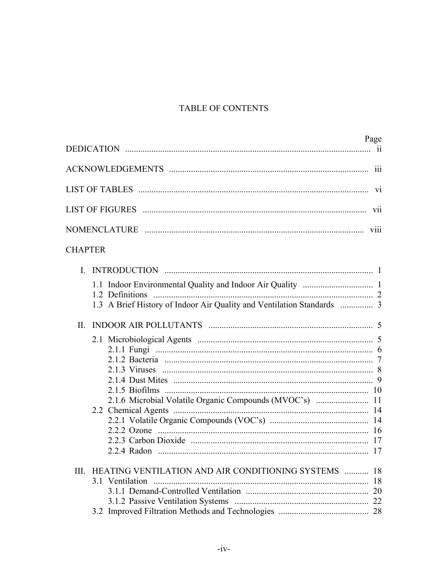# TABLE OF CONTENTS

| Page                                                                   |  |  |  |
|------------------------------------------------------------------------|--|--|--|
|                                                                        |  |  |  |
| <b>V1</b>                                                              |  |  |  |
| <b>V11</b>                                                             |  |  |  |
|                                                                        |  |  |  |
| <b>CHAPTER</b>                                                         |  |  |  |
| 1.3 A Brief History of Indoor Air Quality and Ventilation Standards  3 |  |  |  |
| II.<br>2.1.6 Microbial Volatile Organic Compounds (MVOC's)  11         |  |  |  |
| III. HEATING VENTILATION AND AIR CONDITIONING SYSTEMS  18              |  |  |  |
|                                                                        |  |  |  |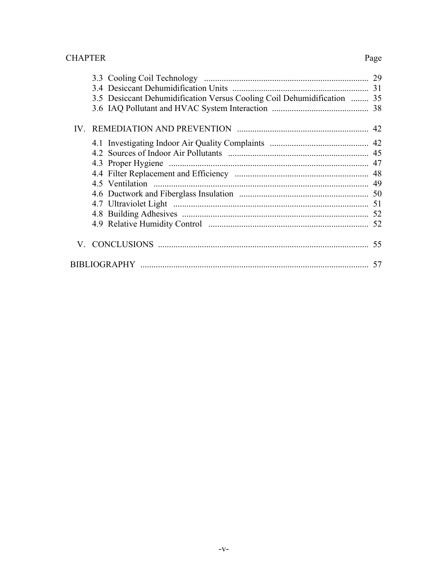#### **CHAPTER**

# 3.5 Desiccant Dehumidification Versus Cooling Coil Dehumidification ........ 35

Page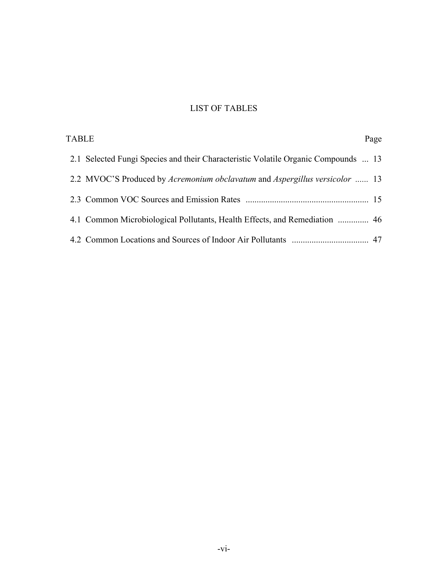# LIST OF TABLES

| <b>TABLE</b> |                                                                                    | Page |
|--------------|------------------------------------------------------------------------------------|------|
|              | 2.1 Selected Fungi Species and their Characteristic Volatile Organic Compounds  13 |      |
|              | 2.2 MVOC'S Produced by Acremonium obclavatum and Aspergillus versicolor  13        |      |
|              |                                                                                    |      |
|              | 4.1 Common Microbiological Pollutants, Health Effects, and Remediation  46         |      |
|              |                                                                                    |      |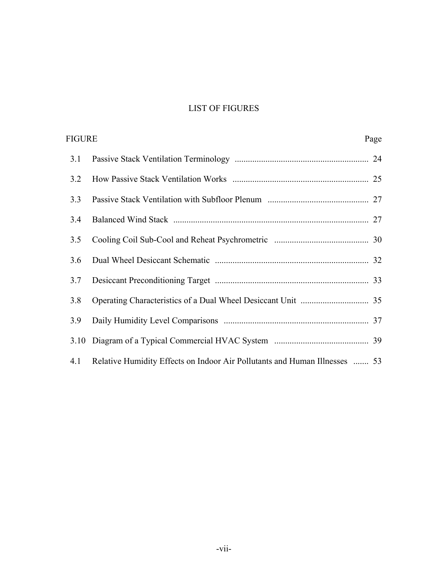# LIST OF FIGURES

| FIGURE<br>Page |                                                                            |  |
|----------------|----------------------------------------------------------------------------|--|
| 3.1            |                                                                            |  |
| 3.2            |                                                                            |  |
| 3.3            |                                                                            |  |
| 3.4            |                                                                            |  |
| 3.5            |                                                                            |  |
| 3.6            |                                                                            |  |
| 3.7            |                                                                            |  |
| 3.8            |                                                                            |  |
| 3.9            |                                                                            |  |
|                |                                                                            |  |
| 4.1            | Relative Humidity Effects on Indoor Air Pollutants and Human Illnesses  53 |  |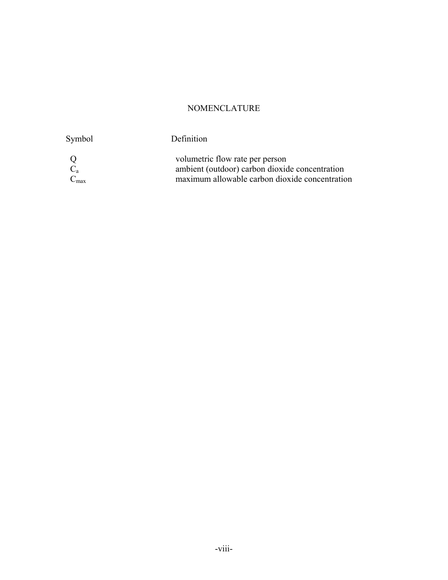# NOMENCLATURE

Symbol Definition

 $\operatorname{Q}_{\!c_a}$  $C_{max}$ 

Q volumetric flow rate per person  $C_a$  ambient (outdoor) carbon dioxide concentration  $C_{\text{max}}$  maximum allowable carbon dioxide concentration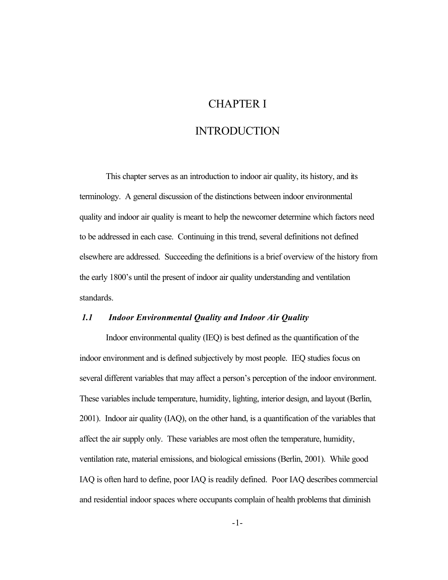# CHAPTER I

# INTRODUCTION

This chapter serves as an introduction to indoor air quality, its history, and its terminology. A general discussion of the distinctions between indoor environmental quality and indoor air quality is meant to help the newcomer determine which factors need to be addressed in each case. Continuing in this trend, several definitions not defined elsewhere are addressed. Succeeding the definitions is a brief overview of the history from the early 1800's until the present of indoor air quality understanding and ventilation standards.

#### *1.1 Indoor Environmental Quality and Indoor Air Quality*

 several different variables that may affect a person's perception of the indoor environment. Indoor environmental quality (IEQ) is best defined as the quantification of the indoor environment and is defined subjectively by most people. IEQ studies focus on These variables include temperature, humidity, lighting, interior design, and layout (Berlin, 2001). Indoor air quality (IAQ), on the other hand, is a quantification of the variables that affect the air supply only. These variables are most often the temperature, humidity, ventilation rate, material emissions, and biological emissions (Berlin, 2001). While good IAQ is often hard to define, poor IAQ is readily defined. Poor IAQ describes commercial and residential indoor spaces where occupants complain of health problems that diminish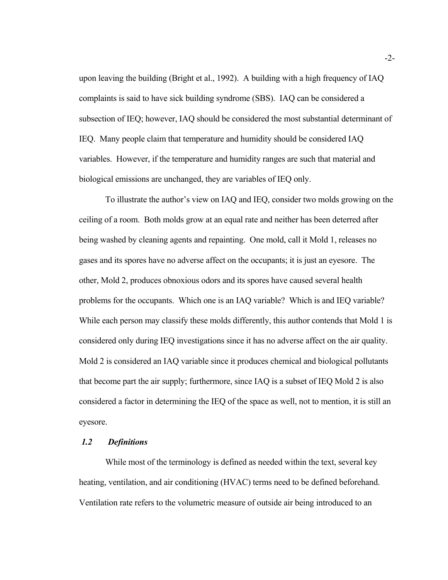upon leaving the building (Bright et al., 1992). A building with a high frequency of IAQ complaints is said to have sick building syndrome (SBS). IAQ can be considered a subsection of IEQ; however, IAQ should be considered the most substantial determinant of IEQ. Many people claim that temperature and humidity should be considered IAQ variables. However, if the temperature and humidity ranges are such that material and biological emissions are unchanged, they are variables of IEQ only.

problems for the occupants. Which one is an IAQ variable? Which is and IEQ variable? To illustrate the author's view on IAQ and IEQ, consider two molds growing on the ceiling of a room. Both molds grow at an equal rate and neither has been deterred after being washed by cleaning agents and repainting. One mold, call it Mold 1, releases no gases and its spores have no adverse affect on the occupants; it is just an eyesore. The other, Mold 2, produces obnoxious odors and its spores have caused several health While each person may classify these molds differently, this author contends that Mold 1 is considered only during IEQ investigations since it has no adverse affect on the air quality. Mold 2 is considered an IAQ variable since it produces chemical and biological pollutants that become part the air supply; furthermore, since IAQ is a subset of IEQ Mold 2 is also considered a factor in determining the IEQ of the space as well, not to mention, it is still an eyesore.

#### *1.2 Definitions*

While most of the terminology is defined as needed within the text, several key heating, ventilation, and air conditioning (HVAC) terms need to be defined beforehand. Ventilation rate refers to the volumetric measure of outside air being introduced to an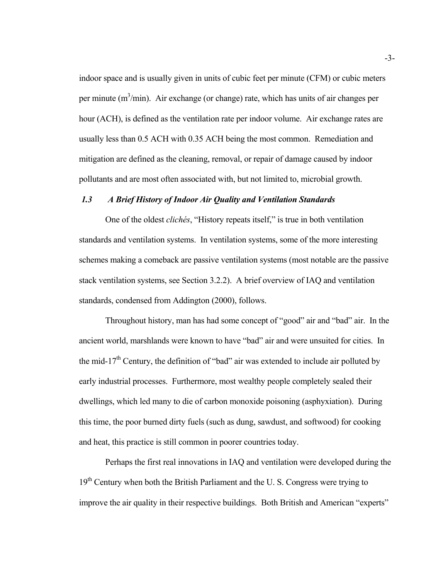indoor space and is usually given in units of cubic feet per minute (CFM) or cubic meters per minute  $(m^3/min)$ . Air exchange (or change) rate, which has units of air changes per hour (ACH), is defined as the ventilation rate per indoor volume. Air exchange rates are usually less than 0.5 ACH with 0.35 ACH being the most common. Remediation and mitigation are defined as the cleaning, removal, or repair of damage caused by indoor pollutants and are most often associated with, but not limited to, microbial growth.

#### *1.3 A Brief History of Indoor Air Quality and Ventilation Standards*

One of the oldest *clichés*, "History repeats itself," is true in both ventilation standards and ventilation systems. In ventilation systems, some of the more interesting schemes making a comeback are passive ventilation systems (most notable are the passive stack ventilation systems, see Section 3.2.2). A brief overview of IAQ and ventilation standards, condensed from Addington (2000), follows.

Throughout history, man has had some concept of "good" air and "bad" air. In the ancient world, marshlands were known to have "bad" air and were unsuited for cities. In the mid-17<sup>th</sup> Century, the definition of "bad" air was extended to include air polluted by early industrial processes. Furthermore, most wealthy people completely sealed their dwellings, which led many to die of carbon monoxide poisoning (asphyxiation). During this time, the poor burned dirty fuels (such as dung, sawdust, and softwood) for cooking and heat, this practice is still common in poorer countries today.

Perhaps the first real innovations in IAQ and ventilation were developed during the  $19<sup>th</sup>$  Century when both the British Parliament and the U. S. Congress were trying to improve the air quality in their respective buildings. Both British and American "experts"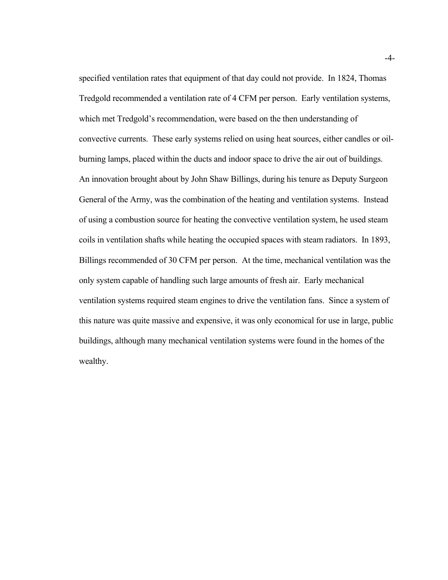specified ventilation rates that equipment of that day could not provide. In 1824, Thomas Tredgold recommended a ventilation rate of 4 CFM per person. Early ventilation systems, which met Tredgold's recommendation, were based on the then understanding of convective currents. These early systems relied on using heat sources, either candles or oilburning lamps, placed within the ducts and indoor space to drive the air out of buildings. An innovation brought about by John Shaw Billings, during his tenure as Deputy Surgeon General of the Army, was the combination of the heating and ventilation systems. Instead of using a combustion source for heating the convective ventilation system, he used steam coils in ventilation shafts while heating the occupied spaces with steam radiators. In 1893, Billings recommended of 30 CFM per person. At the time, mechanical ventilation was the only system capable of handling such large amounts of fresh air. Early mechanical ventilation systems required steam engines to drive the ventilation fans. Since a system of this nature was quite massive and expensive, it was only economical for use in large, public buildings, although many mechanical ventilation systems were found in the homes of the wealthy.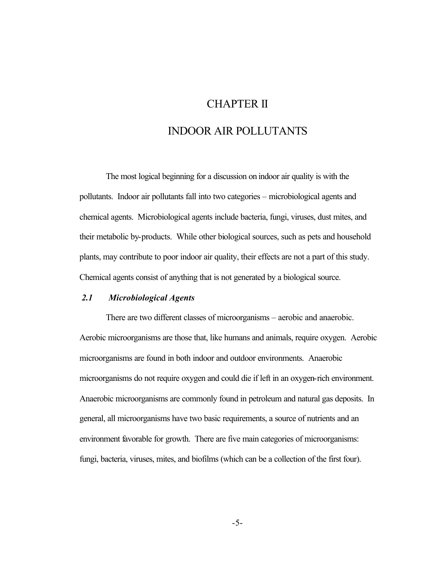# CHAPTER II

# INDOOR AIR POLLUTANTS

The most logical beginning for a discussion on indoor air quality is with the pollutants. Indoor air pollutants fall into two categories – microbiological agents and chemical agents. Microbiological agents include bacteria, fungi, viruses, dust mites, and their metabolic by-products. While other biological sources, such as pets and household plants, may contribute to poor indoor air quality, their effects are not a part of this study. Chemical agents consist of anything that is not generated by a biological source.

#### *2.1 Microbiological Agents*

There are two different classes of microorganisms – aerobic and anaerobic. Aerobic microorganisms are those that, like humans and animals, require oxygen. Aerobic microorganisms are found in both indoor and outdoor environments. Anaerobic microorganisms do not require oxygen and could die if left in an oxygen-rich environment. Anaerobic microorganisms are commonly found in petroleum and natural gas deposits. In general, all microorganisms have two basic requirements, a source of nutrients and an environment favorable for growth. There are five main categories of microorganisms: fungi, bacteria, viruses, mites, and biofilms (which can be a collection of the first four).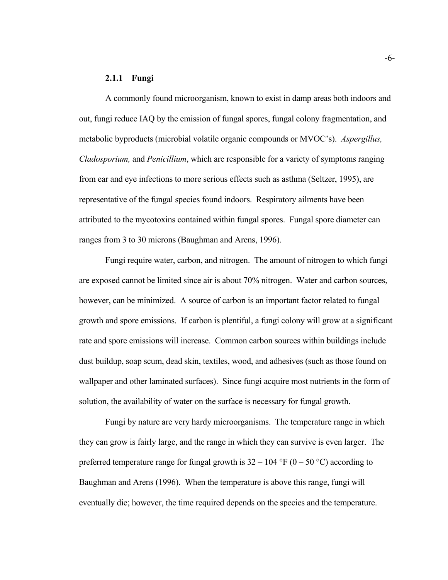#### **2.1.1 Fungi**

A commonly found microorganism, known to exist in damp areas both indoors and out, fungi reduce IAQ by the emission of fungal spores, fungal colony fragmentation, and metabolic byproducts (microbial volatile organic compounds or MVOC's). *Aspergillus, Cladosporium,* and *Penicillium*, which are responsible for a variety of symptoms ranging from ear and eye infections to more serious effects such as asthma (Seltzer, 1995), are representative of the fungal species found indoors. Respiratory ailments have been attributed to the mycotoxins contained within fungal spores. Fungal spore diameter can ranges from 3 to 30 microns (Baughman and Arens, 1996).

Fungi require water, carbon, and nitrogen. The amount of nitrogen to which fungi are exposed cannot be limited since air is about 70% nitrogen. Water and carbon sources, however, can be minimized. A source of carbon is an important factor related to fungal growth and spore emissions. If carbon is plentiful, a fungi colony will grow at a significant rate and spore emissions will increase. Common carbon sources within buildings include dust buildup, soap scum, dead skin, textiles, wood, and adhesives (such as those found on wallpaper and other laminated surfaces). Since fungi acquire most nutrients in the form of solution, the availability of water on the surface is necessary for fungal growth.

Fungi by nature are very hardy microorganisms. The temperature range in which they can grow is fairly large, and the range in which they can survive is even larger. The preferred temperature range for fungal growth is  $32 - 104 \text{ }^{\circ}\text{F}$  (0 – 50 °C) according to Baughman and Arens (1996). When the temperature is above this range, fungi will eventually die; however, the time required depends on the species and the temperature.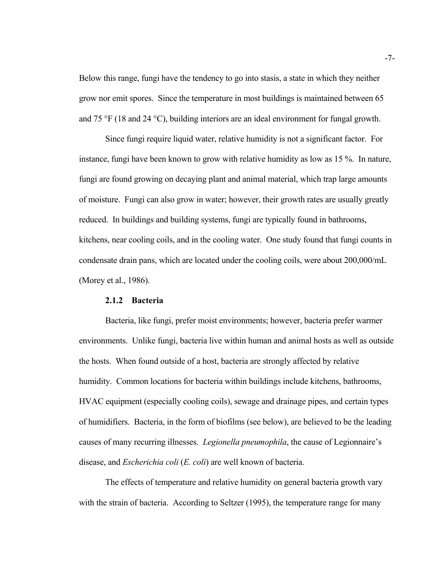Below this range, fungi have the tendency to go into stasis, a state in which they neither grow nor emit spores. Since the temperature in most buildings is maintained between 65 and 75 °F (18 and 24 °C), building interiors are an ideal environment for fungal growth.

 condensate drain pans, which are located under the cooling coils, were about 200,000/mL (Morey et al., 1986). Since fungi require liquid water, relative humidity is not a significant factor. For instance, fungi have been known to grow with relative humidity as low as 15 %. In nature, fungi are found growing on decaying plant and animal material, which trap large amounts of moisture. Fungi can also grow in water; however, their growth rates are usually greatly reduced. In buildings and building systems, fungi are typically found in bathrooms, kitchens, near cooling coils, and in the cooling water. One study found that fungi counts in

#### **2.1.2 Bacteria**

Bacteria, like fungi, prefer moist environments; however, bacteria prefer warmer environments. Unlike fungi, bacteria live within human and animal hosts as well as outside the hosts. When found outside of a host, bacteria are strongly affected by relative humidity. Common locations for bacteria within buildings include kitchens, bathrooms, HVAC equipment (especially cooling coils), sewage and drainage pipes, and certain types of humidifiers. Bacteria, in the form of biofilms (see below), are believed to be the leading causes of many recurring illnesses. *Legionella pneumophila*, the cause of Legionnaire's disease, and *Escherichia coli* (*E. coli*) are well known of bacteria.

The effects of temperature and relative humidity on general bacteria growth vary with the strain of bacteria. According to Seltzer (1995), the temperature range for many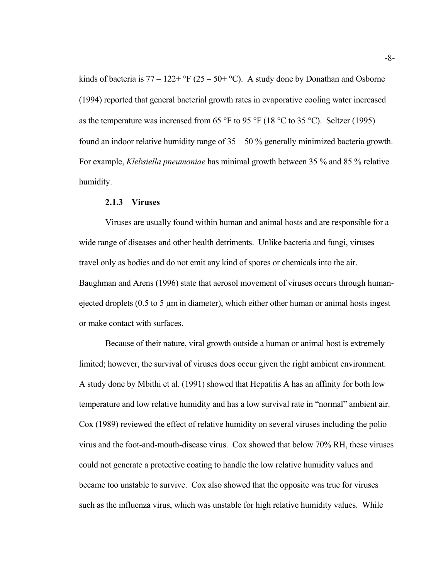kinds of bacteria is  $77 - 122 + \text{°F}$  ( $25 - 50 + \text{°C}$ ). A study done by Donathan and Osborne (1994) reported that general bacterial growth rates in evaporative cooling water increased as the temperature was increased from 65 °F to 95 °F (18 °C to 35 °C). Seltzer (1995) found an indoor relative humidity range of  $35 - 50$  % generally minimized bacteria growth. For example, *Klebsiella pneumoniae* has minimal growth between 35 % and 85 % relative humidity.

#### **2.1.3 Viruses**

Viruses are usually found within human and animal hosts and are responsible for a wide range of diseases and other health detriments. Unlike bacteria and fungi, viruses travel only as bodies and do not emit any kind of spores or chemicals into the air. Baughman and Arens (1996) state that aerosol movement of viruses occurs through humanejected droplets ( $0.5$  to  $5 \mu m$  in diameter), which either other human or animal hosts ingest or make contact with surfaces.

Because of their nature, viral growth outside a human or animal host is extremely limited; however, the survival of viruses does occur given the right ambient environment. A study done by Mbithi et al. (1991) showed that Hepatitis A has an affinity for both low temperature and low relative humidity and has a low survival rate in "normal" ambient air. Cox (1989) reviewed the effect of relative humidity on several viruses including the polio virus and the foot-and-mouth-disease virus. Cox showed that below 70% RH, these viruses could not generate a protective coating to handle the low relative humidity values and became too unstable to survive. Cox also showed that the opposite was true for viruses such as the influenza virus, which was unstable for high relative humidity values. While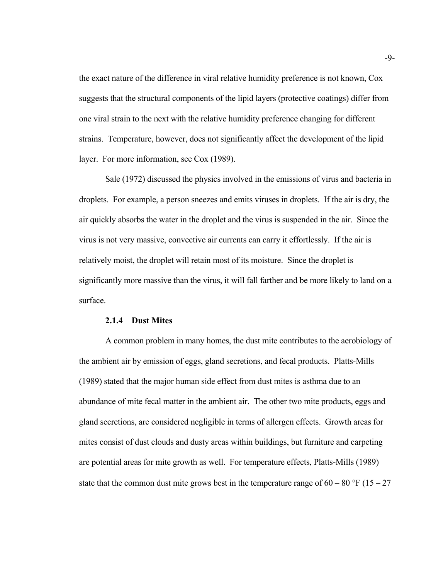the exact nature of the difference in viral relative humidity preference is not known, Cox suggests that the structural components of the lipid layers (protective coatings) differ from one viral strain to the next with the relative humidity preference changing for different strains. Temperature, however, does not significantly affect the development of the lipid layer. For more information, see Cox (1989).

Sale (1972) discussed the physics involved in the emissions of virus and bacteria in droplets. For example, a person sneezes and emits viruses in droplets. If the air is dry, the air quickly absorbs the water in the droplet and the virus is suspended in the air. Since the virus is not very massive, convective air currents can carry it effortlessly. If the air is relatively moist, the droplet will retain most of its moisture. Since the droplet is significantly more massive than the virus, it will fall farther and be more likely to land on a surface.

#### **2.1.4 Dust Mites**

A common problem in many homes, the dust mite contributes to the aerobiology of the ambient air by emission of eggs, gland secretions, and fecal products. Platts-Mills (1989) stated that the major human side effect from dust mites is asthma due to an abundance of mite fecal matter in the ambient air. The other two mite products, eggs and gland secretions, are considered negligible in terms of allergen effects. Growth areas for mites consist of dust clouds and dusty areas within buildings, but furniture and carpeting are potential areas for mite growth as well. For temperature effects, Platts-Mills (1989) state that the common dust mite grows best in the temperature range of  $60 - 80$  °F ( $15 - 27$ )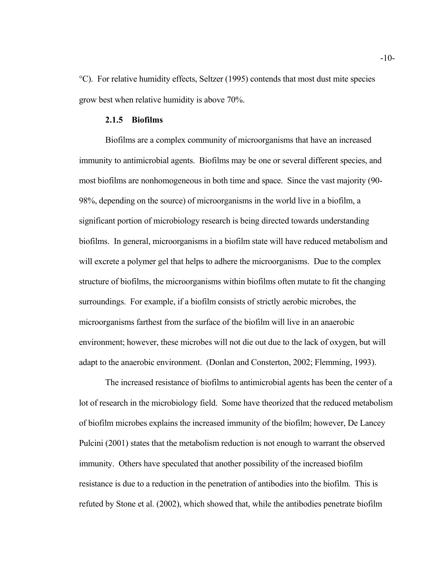°C). For relative humidity effects, Seltzer (1995) contends that most dust mite species grow best when relative humidity is above 70%.

#### **2.1.5 Biofilms**

Biofilms are a complex community of microorganisms that have an increased immunity to antimicrobial agents. Biofilms may be one or several different species, and most biofilms are nonhomogeneous in both time and space. Since the vast majority (90- 98%, depending on the source) of microorganisms in the world live in a biofilm, a significant portion of microbiology research is being directed towards understanding biofilms. In general, microorganisms in a biofilm state will have reduced metabolism and will excrete a polymer gel that helps to adhere the microorganisms. Due to the complex structure of biofilms, the microorganisms within biofilms often mutate to fit the changing surroundings. For example, if a biofilm consists of strictly aerobic microbes, the microorganisms farthest from the surface of the biofilm will live in an anaerobic environment; however, these microbes will not die out due to the lack of oxygen, but will adapt to the anaerobic environment. (Donlan and Consterton, 2002; Flemming, 1993).

The increased resistance of biofilms to antimicrobial agents has been the center of a lot of research in the microbiology field. Some have theorized that the reduced metabolism of biofilm microbes explains the increased immunity of the biofilm; however, De Lancey Pulcini (2001) states that the metabolism reduction is not enough to warrant the observed immunity. Others have speculated that another possibility of the increased biofilm resistance is due to a reduction in the penetration of antibodies into the biofilm. This is refuted by Stone et al. (2002), which showed that, while the antibodies penetrate biofilm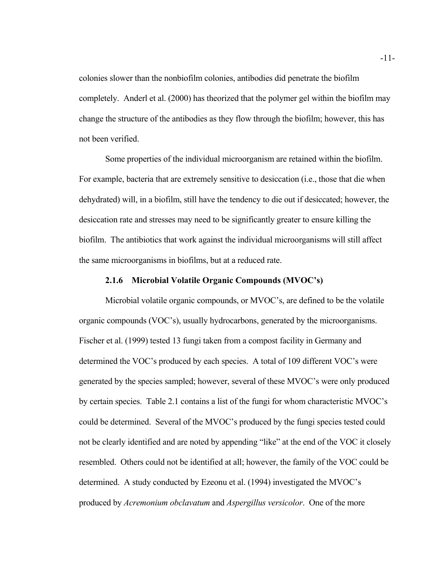colonies slower than the nonbiofilm colonies, antibodies did penetrate the biofilm completely. Anderl et al. (2000) has theorized that the polymer gel within the biofilm may change the structure of the antibodies as they flow through the biofilm; however, this has not been verified.

Some properties of the individual microorganism are retained within the biofilm. For example, bacteria that are extremely sensitive to desiccation (i.e., those that die when dehydrated) will, in a biofilm, still have the tendency to die out if desiccated; however, the desiccation rate and stresses may need to be significantly greater to ensure killing the biofilm. The antibiotics that work against the individual microorganisms will still affect the same microorganisms in biofilms, but at a reduced rate.

#### **2.1.6 Microbial Volatile Organic Compounds (MVOC's)**

Microbial volatile organic compounds, or MVOC's, are defined to be the volatile organic compounds (VOC's), usually hydrocarbons, generated by the microorganisms. Fischer et al. (1999) tested 13 fungi taken from a compost facility in Germany and determined the VOC's produced by each species. A total of 109 different VOC's were generated by the species sampled; however, several of these MVOC's were only produced by certain species. Table 2.1 contains a list of the fungi for whom characteristic MVOC's could be determined. Several of the MVOC's produced by the fungi species tested could not be clearly identified and are noted by appending "like" at the end of the VOC it closely resembled. Others could not be identified at all; however, the family of the VOC could be determined. A study conducted by Ezeonu et al. (1994) investigated the MVOC's produced by *Acremonium obclavatum* and *Aspergillus versicolor*. One of the more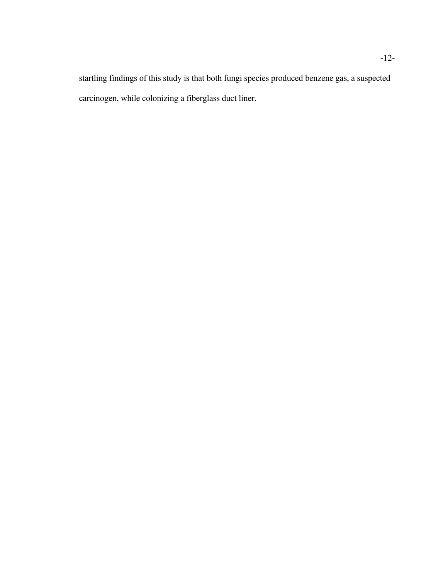startling findings of this study is that both fungi species produced benzene gas, a suspected carcinogen, while colonizing a fiberglass duct liner.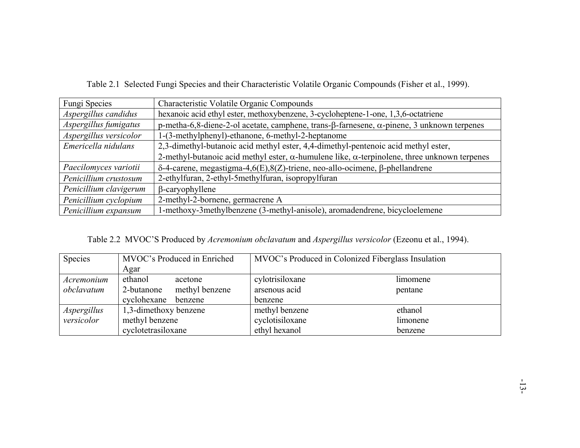| Fungi Species                                                                                             | Characteristic Volatile Organic Compounds                                                                   |
|-----------------------------------------------------------------------------------------------------------|-------------------------------------------------------------------------------------------------------------|
| hexanoic acid ethyl ester, methoxybenzene, 3-cycloheptene-1-one, 1,3,6-octatriene<br>Aspergillus candidus |                                                                                                             |
| Aspergillus fumigatus                                                                                     | p-metha-6,8-diene-2-ol acetate, camphene, trans- $\beta$ -farnesene, $\alpha$ -pinene, 3 unknown terpenes   |
| Aspergillus versicolor<br>1-(3-methylphenyl)-ethanone, 6-methyl-2-heptanome                               |                                                                                                             |
| Emericella nidulans                                                                                       | 2,3-dimethyl-butanoic acid methyl ester, 4,4-dimethyl-pentenoic acid methyl ester,                          |
|                                                                                                           | 2-methyl-butanoic acid methyl ester, $\alpha$ -humulene like, $\alpha$ -terpinolene, three unknown terpenes |
| Paecilomyces variotii                                                                                     | $\delta$ -4-carene, megastigma-4,6(E),8(Z)-triene, neo-allo-ocimene, β-phellandrene                         |
| Penicillium crustosum                                                                                     | 2-ethylfuran, 2-ethyl-5methylfuran, isopropylfuran                                                          |
| Penicillium clavigerum                                                                                    | $\beta$ -caryophyllene                                                                                      |
| Penicillium cyclopium                                                                                     | 2-methyl-2-bornene, germacrene A                                                                            |
| Penicillium expansum                                                                                      | -methoxy-3methylbenzene (3-methyl-anisole), aromadendrene, bicycloelemene                                   |

Table 2.1 Selected Fungi Species and their Characteristic Volatile Organic Compounds (Fisher et al., 1999).

Table 2.2 MVOC'S Produced by *Acremonium obclavatum* and *Aspergillus versicolor* (Ezeonu et al., 1994).

| Species     | MVOC's Produced in Enriched  | MVOC's Produced in Colonized Fiberglass Insulation |          |
|-------------|------------------------------|----------------------------------------------------|----------|
|             | Agar                         |                                                    |          |
| Acremonium  | ethanol<br>acetone           | cylotrisiloxane                                    | limomene |
| obclavatum  | methyl benzene<br>2-butanone | arsenous acid                                      | pentane  |
|             | cyclohexane<br>benzene       | benzene                                            |          |
| Aspergillus | 1,3-dimethoxy benzene        | methyl benzene                                     | ethanol  |
| versicolor  | methyl benzene               | cyclotisiloxane                                    | limonene |
|             | cyclotetrasiloxane           | ethyl hexanol                                      | benzene  |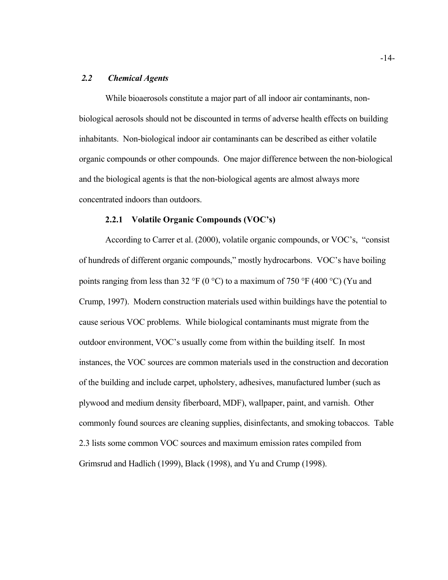#### *2.2 Chemical Agents*

While bioaerosols constitute a major part of all indoor air contaminants, nonbiological aerosols should not be discounted in terms of adverse health effects on building inhabitants. Non-biological indoor air contaminants can be described as either volatile organic compounds or other compounds. One major difference between the non-biological and the biological agents is that the non-biological agents are almost always more concentrated indoors than outdoors.

#### **2.2.1 Volatile Organic Compounds (VOC's)**

According to Carrer et al. (2000), volatile organic compounds, or VOC's, "consist of hundreds of different organic compounds," mostly hydrocarbons. VOC's have boiling points ranging from less than 32 °F (0 °C) to a maximum of 750 °F (400 °C) (Yu and Crump, 1997). Modern construction materials used within buildings have the potential to cause serious VOC problems. While biological contaminants must migrate from the outdoor environment, VOC's usually come from within the building itself. In most instances, the VOC sources are common materials used in the construction and decoration of the building and include carpet, upholstery, adhesives, manufactured lumber (such as plywood and medium density fiberboard, MDF), wallpaper, paint, and varnish. Other commonly found sources are cleaning supplies, disinfectants, and smoking tobaccos. Table 2.3 lists some common VOC sources and maximum emission rates compiled from Grimsrud and Hadlich (1999), Black (1998), and Yu and Crump (1998).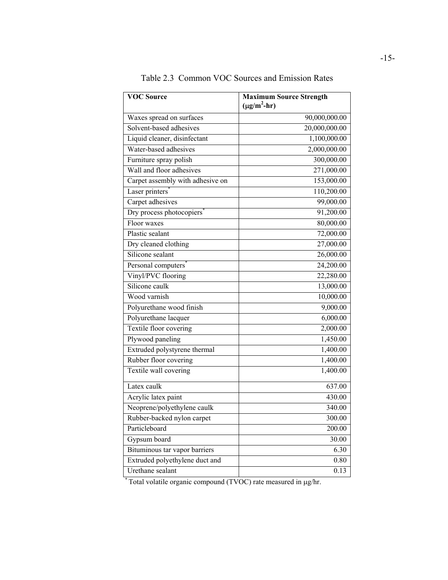| <b>VOC Source</b>                | <b>Maximum Source Strength</b><br>$(\mu g/m^2-hr)$ |
|----------------------------------|----------------------------------------------------|
| Waxes spread on surfaces         | 90,000,000.00                                      |
| Solvent-based adhesives          | 20,000,000.00                                      |
| Liquid cleaner, disinfectant     | 1,100,000.00                                       |
| Water-based adhesives            | 2,000,000.00                                       |
| Furniture spray polish           | 300,000.00                                         |
| Wall and floor adhesives         | 271,000.00                                         |
| Carpet assembly with adhesive on | 153,000.00                                         |
| Laser printers'                  | 110,200.00                                         |
| Carpet adhesives                 | 99,000.00                                          |
| Dry process photocopiers         | 91,200.00                                          |
| Floor waxes                      | 80,000.00                                          |
| Plastic sealant                  | 72,000.00                                          |
| Dry cleaned clothing             | 27,000.00                                          |
| Silicone sealant                 | 26,000.00                                          |
| Personal computers <sup>®</sup>  | 24,200.00                                          |
| Vinyl/PVC flooring               | 22,280.00                                          |
| Silicone caulk                   | 13,000.00                                          |
| Wood varnish                     | 10,000.00                                          |
| Polyurethane wood finish         | 9,000.00                                           |
| Polyurethane lacquer             | 6,000.00                                           |
| Textile floor covering           | 2,000.00                                           |
| Plywood paneling                 | 1,450.00                                           |
| Extruded polystyrene thermal     | 1,400.00                                           |
| Rubber floor covering            | 1,400.00                                           |
| Textile wall covering            | 1,400.00                                           |
| Latex caulk                      | 637.00                                             |
| Acrylic latex paint              | 430.00                                             |
| Neoprene/polyethylene caulk      | 340.00                                             |
| Rubber-backed nylon carpet       | 300.00                                             |
| Particleboard                    | 200.00                                             |
| Gypsum board                     | 30.00                                              |
| Bituminous tar vapor barriers    | 6.30                                               |
| Extruded polyethylene duct and   | 0.80                                               |
| Urethane sealant                 | 0.13                                               |

Table 2.3 Common VOC Sources and Emission Rates

\* Total volatile organic compound (TVOC) rate measured in µg/hr.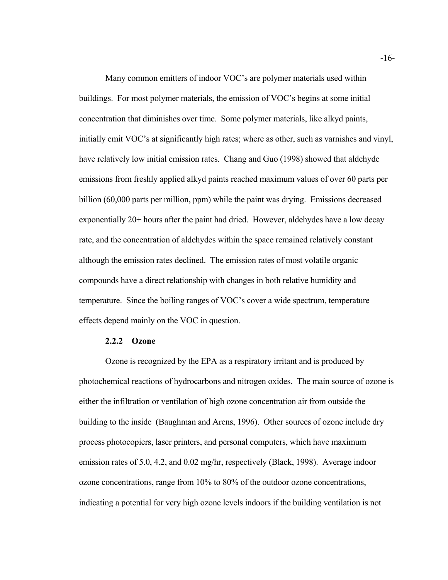Many common emitters of indoor VOC's are polymer materials used within buildings. For most polymer materials, the emission of VOC's begins at some initial concentration that diminishes over time. Some polymer materials, like alkyd paints, initially emit VOC's at significantly high rates; where as other, such as varnishes and vinyl, have relatively low initial emission rates. Chang and Guo (1998) showed that aldehyde emissions from freshly applied alkyd paints reached maximum values of over 60 parts per billion (60,000 parts per million, ppm) while the paint was drying. Emissions decreased exponentially 20+ hours after the paint had dried. However, aldehydes have a low decay rate, and the concentration of aldehydes within the space remained relatively constant although the emission rates declined. The emission rates of most volatile organic compounds have a direct relationship with changes in both relative humidity and temperature. Since the boiling ranges of VOC's cover a wide spectrum, temperature effects depend mainly on the VOC in question.

#### **2.2.2 Ozone**

Ozone is recognized by the EPA as a respiratory irritant and is produced by photochemical reactions of hydrocarbons and nitrogen oxides. The main source of ozone is either the infiltration or ventilation of high ozone concentration air from outside the building to the inside (Baughman and Arens, 1996). Other sources of ozone include dry process photocopiers, laser printers, and personal computers, which have maximum emission rates of 5.0, 4.2, and 0.02 mg/hr, respectively (Black, 1998). Average indoor ozone concentrations, range from 10% to 80% of the outdoor ozone concentrations, indicating a potential for very high ozone levels indoors if the building ventilation is not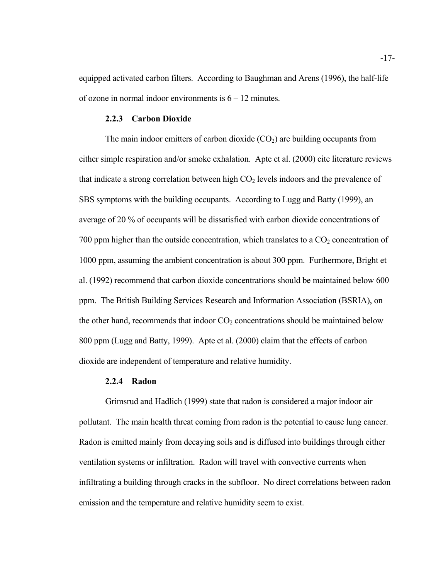equipped activated carbon filters. According to Baughman and Arens (1996), the half-life of ozone in normal indoor environments is  $6 - 12$  minutes.

#### **2.2.3 Carbon Dioxide**

The main indoor emitters of carbon dioxide  $(CO<sub>2</sub>)$  are building occupants from either simple respiration and/or smoke exhalation. Apte et al. (2000) cite literature reviews that indicate a strong correlation between high  $CO<sub>2</sub>$  levels indoors and the prevalence of SBS symptoms with the building occupants. According to Lugg and Batty (1999), an average of 20 % of occupants will be dissatisfied with carbon dioxide concentrations of 700 ppm higher than the outside concentration, which translates to a  $CO<sub>2</sub>$  concentration of 1000 ppm, assuming the ambient concentration is about 300 ppm. Furthermore, Bright et al. (1992) recommend that carbon dioxide concentrations should be maintained below 600 ppm. The British Building Services Research and Information Association (BSRIA), on the other hand, recommends that indoor  $CO<sub>2</sub>$  concentrations should be maintained below 800 ppm (Lugg and Batty, 1999). Apte et al. (2000) claim that the effects of carbon dioxide are independent of temperature and relative humidity.

#### **2.2.4 Radon**

Grimsrud and Hadlich (1999) state that radon is considered a major indoor air pollutant. The main health threat coming from radon is the potential to cause lung cancer. Radon is emitted mainly from decaying soils and is diffused into buildings through either ventilation systems or infiltration. Radon will travel with convective currents when infiltrating a building through cracks in the subfloor. No direct correlations between radon emission and the temperature and relative humidity seem to exist.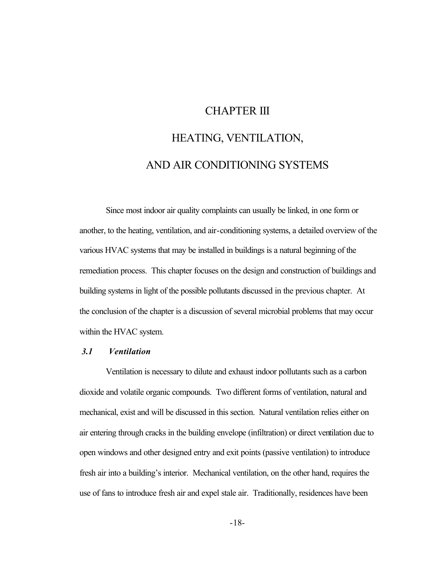# CHAPTER III

# HEATING, VENTILATION, AND AIR CONDITIONING SYSTEMS

Since most indoor air quality complaints can usually be linked, in one form or another, to the heating, ventilation, and air-conditioning systems, a detailed overview of the various HVAC systems that may be installed in buildings is a natural beginning of the remediation process. This chapter focuses on the design and construction of buildings and building systems in light of the possible pollutants discussed in the previous chapter. At the conclusion of the chapter is a discussion of several microbial problems that may occur within the HVAC system.

#### *3.1 Ventilation*

Ventilation is necessary to dilute and exhaust indoor pollutants such as a carbon dioxide and volatile organic compounds. Two different forms of ventilation, natural and mechanical, exist and will be discussed in this section. Natural ventilation relies either on air entering through cracks in the building envelope (infiltration) or direct ventilation due to open windows and other designed entry and exit points (passive ventilation) to introduce fresh air into a building's interior. Mechanical ventilation, on the other hand, requires the use of fans to introduce fresh air and expel stale air. Traditionally, residences have been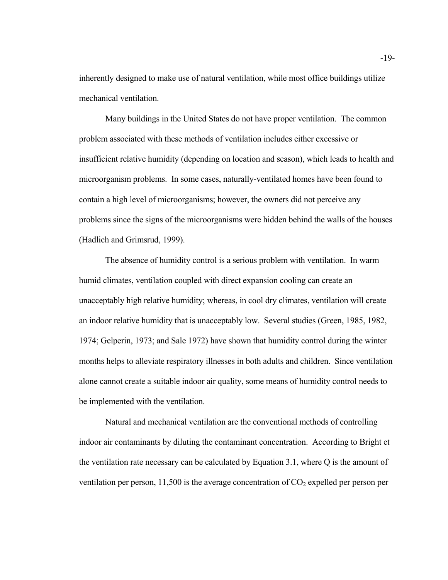inherently designed to make use of natural ventilation, while most office buildings utilize mechanical ventilation.

Many buildings in the United States do not have proper ventilation. The common problem associated with these methods of ventilation includes either excessive or insufficient relative humidity (depending on location and season), which leads to health and microorganism problems. In some cases, naturally-ventilated homes have been found to contain a high level of microorganisms; however, the owners did not perceive any problems since the signs of the microorganisms were hidden behind the walls of the houses (Hadlich and Grimsrud, 1999).

The absence of humidity control is a serious problem with ventilation. In warm humid climates, ventilation coupled with direct expansion cooling can create an unacceptably high relative humidity; whereas, in cool dry climates, ventilation will create an indoor relative humidity that is unacceptably low. Several studies (Green, 1985, 1982, 1974; Gelperin, 1973; and Sale 1972) have shown that humidity control during the winter months helps to alleviate respiratory illnesses in both adults and children. Since ventilation alone cannot create a suitable indoor air quality, some means of humidity control needs to be implemented with the ventilation.

Natural and mechanical ventilation are the conventional methods of controlling indoor air contaminants by diluting the contaminant concentration. According to Bright et the ventilation rate necessary can be calculated by Equation 3.1, where Q is the amount of ventilation per person, 11,500 is the average concentration of  $CO<sub>2</sub>$  expelled per person per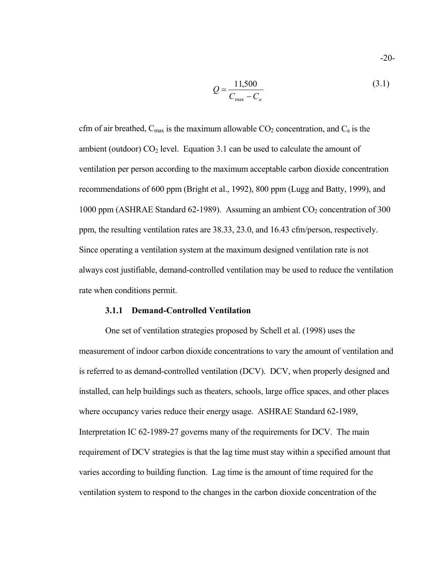$$
Q = \frac{11,500}{C_{\text{max}} - C_a}
$$
 (3.1)

cfm of air breathed,  $C_{\text{max}}$  is the maximum allowable  $CO_2$  concentration, and  $C_a$  is the ambient (outdoor)  $CO<sub>2</sub>$  level. Equation 3.1 can be used to calculate the amount of ventilation per person according to the maximum acceptable carbon dioxide concentration recommendations of 600 ppm (Bright et al., 1992), 800 ppm (Lugg and Batty, 1999), and 1000 ppm (ASHRAE Standard 62-1989). Assuming an ambient  $CO_2$  concentration of 300 ppm, the resulting ventilation rates are 38.33, 23.0, and 16.43 cfm/person, respectively. Since operating a ventilation system at the maximum designed ventilation rate is not always cost justifiable, demand-controlled ventilation may be used to reduce the ventilation rate when conditions permit.

#### **3.1.1 Demand-Controlled Ventilation**

One set of ventilation strategies proposed by Schell et al. (1998) uses the measurement of indoor carbon dioxide concentrations to vary the amount of ventilation and is referred to as demand-controlled ventilation (DCV). DCV, when properly designed and installed, can help buildings such as theaters, schools, large office spaces, and other places where occupancy varies reduce their energy usage. ASHRAE Standard 62-1989, Interpretation IC 62-1989-27 governs many of the requirements for DCV. The main requirement of DCV strategies is that the lag time must stay within a specified amount that varies according to building function. Lag time is the amount of time required for the ventilation system to respond to the changes in the carbon dioxide concentration of the

-20-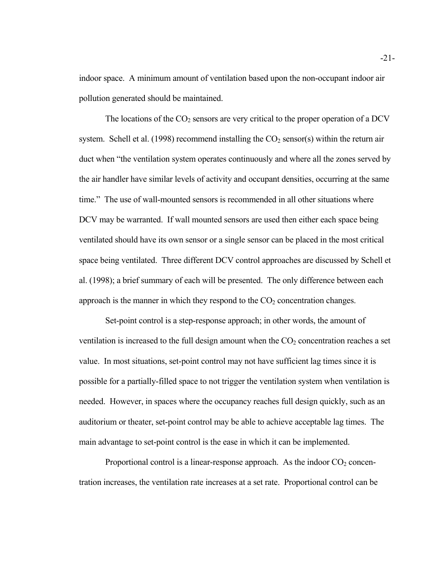indoor space. A minimum amount of ventilation based upon the non-occupant indoor air pollution generated should be maintained.

The locations of the  $CO<sub>2</sub>$  sensors are very critical to the proper operation of a DCV system. Schell et al. (1998) recommend installing the  $CO<sub>2</sub>$  sensor(s) within the return air duct when "the ventilation system operates continuously and where all the zones served by the air handler have similar levels of activity and occupant densities, occurring at the same time." The use of wall-mounted sensors is recommended in all other situations where DCV may be warranted. If wall mounted sensors are used then either each space being ventilated should have its own sensor or a single sensor can be placed in the most critical space being ventilated. Three different DCV control approaches are discussed by Schell et al. (1998); a brief summary of each will be presented. The only difference between each approach is the manner in which they respond to the  $CO<sub>2</sub>$  concentration changes.

Set-point control is a step-response approach; in other words, the amount of ventilation is increased to the full design amount when the  $CO<sub>2</sub>$  concentration reaches a set value. In most situations, set-point control may not have sufficient lag times since it is possible for a partially-filled space to not trigger the ventilation system when ventilation is needed. However, in spaces where the occupancy reaches full design quickly, such as an auditorium or theater, set-point control may be able to achieve acceptable lag times. The main advantage to set-point control is the ease in which it can be implemented.

Proportional control is a linear-response approach. As the indoor  $CO<sub>2</sub>$  concentration increases, the ventilation rate increases at a set rate. Proportional control can be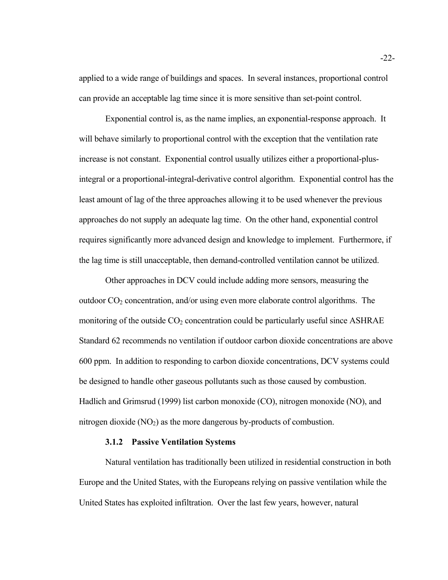applied to a wide range of buildings and spaces. In several instances, proportional control can provide an acceptable lag time since it is more sensitive than set-point control.

Exponential control is, as the name implies, an exponential-response approach. It will behave similarly to proportional control with the exception that the ventilation rate increase is not constant. Exponential control usually utilizes either a proportional-plusintegral or a proportional-integral-derivative control algorithm. Exponential control has the least amount of lag of the three approaches allowing it to be used whenever the previous approaches do not supply an adequate lag time. On the other hand, exponential control requires significantly more advanced design and knowledge to implement. Furthermore, if the lag time is still unacceptable, then demand-controlled ventilation cannot be utilized.

Other approaches in DCV could include adding more sensors, measuring the outdoor  $CO<sub>2</sub>$  concentration, and/or using even more elaborate control algorithms. The monitoring of the outside  $CO<sub>2</sub>$  concentration could be particularly useful since ASHRAE Standard 62 recommends no ventilation if outdoor carbon dioxide concentrations are above 600 ppm. In addition to responding to carbon dioxide concentrations, DCV systems could be designed to handle other gaseous pollutants such as those caused by combustion. Hadlich and Grimsrud (1999) list carbon monoxide (CO), nitrogen monoxide (NO), and nitrogen dioxide  $(NO<sub>2</sub>)$  as the more dangerous by-products of combustion.

#### **3.1.2 Passive Ventilation Systems**

Natural ventilation has traditionally been utilized in residential construction in both Europe and the United States, with the Europeans relying on passive ventilation while the United States has exploited infiltration. Over the last few years, however, natural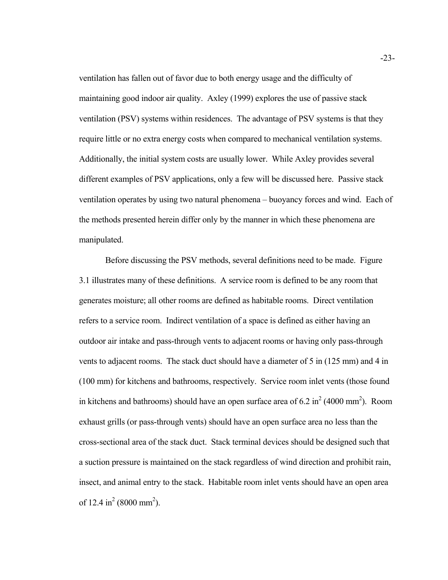ventilation has fallen out of favor due to both energy usage and the difficulty of maintaining good indoor air quality. Axley (1999) explores the use of passive stack ventilation (PSV) systems within residences. The advantage of PSV systems is that they require little or no extra energy costs when compared to mechanical ventilation systems. Additionally, the initial system costs are usually lower. While Axley provides several different examples of PSV applications, only a few will be discussed here. Passive stack ventilation operates by using two natural phenomena – buoyancy forces and wind. Each of the methods presented herein differ only by the manner in which these phenomena are manipulated.

Before discussing the PSV methods, several definitions need to be made. Figure 3.1 illustrates many of these definitions. A service room is defined to be any room that generates moisture; all other rooms are defined as habitable rooms. Direct ventilation refers to a service room. Indirect ventilation of a space is defined as either having an outdoor air intake and pass-through vents to adjacent rooms or having only pass-through vents to adjacent rooms. The stack duct should have a diameter of 5 in (125 mm) and 4 in (100 mm) for kitchens and bathrooms, respectively. Service room inlet vents (those found in kitchens and bathrooms) should have an open surface area of 6.2 in<sup>2</sup> (4000 mm<sup>2</sup>). Room exhaust grills (or pass-through vents) should have an open surface area no less than the cross-sectional area of the stack duct. Stack terminal devices should be designed such that a suction pressure is maintained on the stack regardless of wind direction and prohibit rain, insect, and animal entry to the stack. Habitable room inlet vents should have an open area of 12.4 in<sup>2</sup> (8000 mm<sup>2</sup>).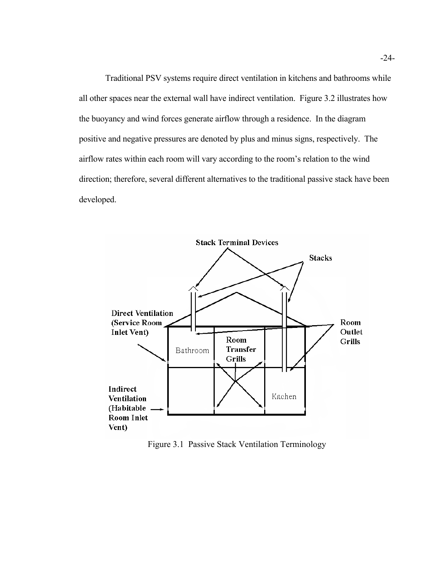Traditional PSV systems require direct ventilation in kitchens and bathrooms while all other spaces near the external wall have indirect ventilation. Figure 3.2 illustrates how the buoyancy and wind forces generate airflow through a residence. In the diagram positive and negative pressures are denoted by plus and minus signs, respectively. The airflow rates within each room will vary according to the room's relation to the wind direction; therefore, several different alternatives to the traditional passive stack have been developed.



Figure 3.1 Passive Stack Ventilation Terminology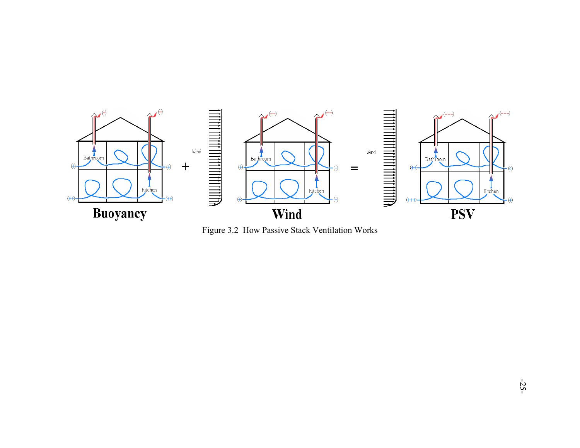

Figure 3.2 How Passive Stack Ventilation Works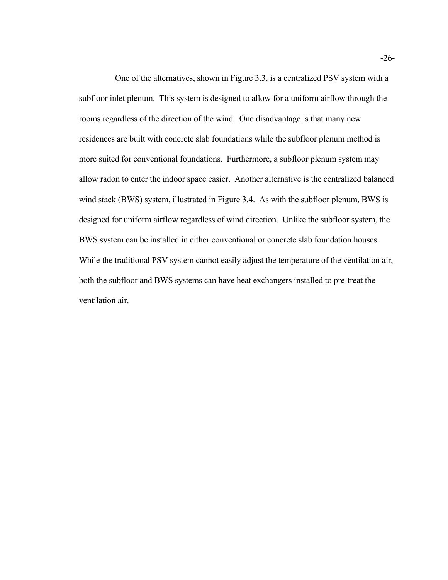One of the alternatives, shown in Figure 3.3, is a centralized PSV system with a subfloor inlet plenum. This system is designed to allow for a uniform airflow through the rooms regardless of the direction of the wind. One disadvantage is that many new residences are built with concrete slab foundations while the subfloor plenum method is more suited for conventional foundations. Furthermore, a subfloor plenum system may allow radon to enter the indoor space easier. Another alternative is the centralized balanced wind stack (BWS) system, illustrated in Figure 3.4. As with the subfloor plenum, BWS is designed for uniform airflow regardless of wind direction. Unlike the subfloor system, the BWS system can be installed in either conventional or concrete slab foundation houses. While the traditional PSV system cannot easily adjust the temperature of the ventilation air, both the subfloor and BWS systems can have heat exchangers installed to pre-treat the ventilation air.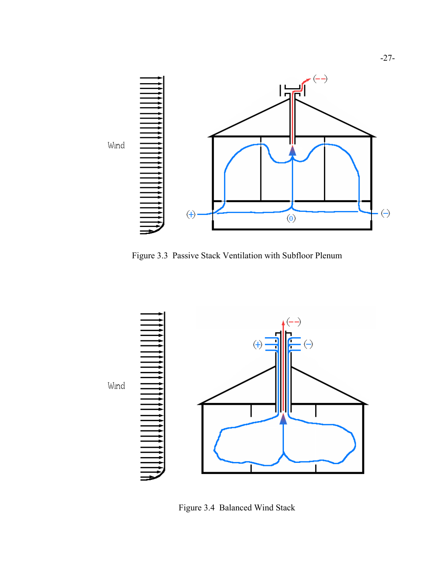

Figure 3.3 Passive Stack Ventilation with Subfloor Plenum



Figure 3.4 Balanced Wind Stack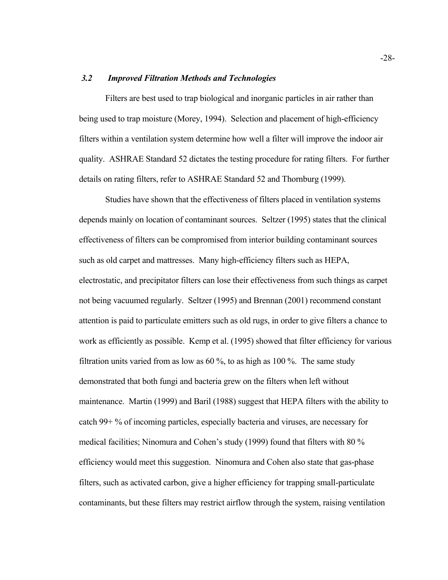#### *3.2 Improved Filtration Methods and Technologies*

Filters are best used to trap biological and inorganic particles in air rather than being used to trap moisture (Morey, 1994). Selection and placement of high-efficiency filters within a ventilation system determine how well a filter will improve the indoor air quality. ASHRAE Standard 52 dictates the testing procedure for rating filters. For further details on rating filters, refer to ASHRAE Standard 52 and Thornburg (1999).

Studies have shown that the effectiveness of filters placed in ventilation systems depends mainly on location of contaminant sources. Seltzer (1995) states that the clinical effectiveness of filters can be compromised from interior building contaminant sources such as old carpet and mattresses. Many high-efficiency filters such as HEPA, electrostatic, and precipitator filters can lose their effectiveness from such things as carpet not being vacuumed regularly. Seltzer (1995) and Brennan (2001) recommend constant attention is paid to particulate emitters such as old rugs, in order to give filters a chance to work as efficiently as possible. Kemp et al. (1995) showed that filter efficiency for various filtration units varied from as low as  $60\%$ , to as high as 100 %. The same study demonstrated that both fungi and bacteria grew on the filters when left without maintenance. Martin (1999) and Baril (1988) suggest that HEPA filters with the ability to catch 99+ % of incoming particles, especially bacteria and viruses, are necessary for medical facilities; Ninomura and Cohen's study (1999) found that filters with 80 % efficiency would meet this suggestion. Ninomura and Cohen also state that gas-phase filters, such as activated carbon, give a higher efficiency for trapping small-particulate contaminants, but these filters may restrict airflow through the system, raising ventilation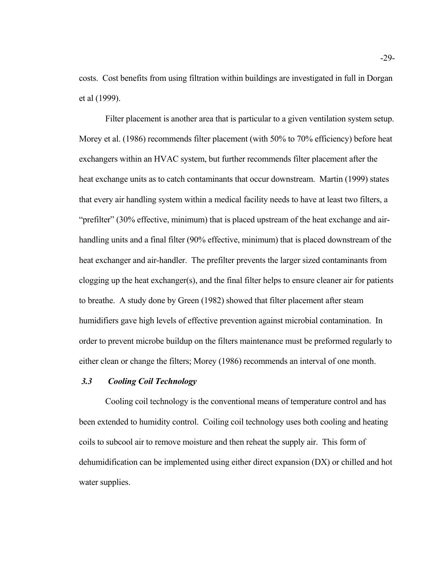costs. Cost benefits from using filtration within buildings are investigated in full in Dorgan et al (1999).

Filter placement is another area that is particular to a given ventilation system setup. Morey et al. (1986) recommends filter placement (with 50% to 70% efficiency) before heat exchangers within an HVAC system, but further recommends filter placement after the heat exchange units as to catch contaminants that occur downstream. Martin (1999) states that every air handling system within a medical facility needs to have at least two filters, a "prefilter" (30% effective, minimum) that is placed upstream of the heat exchange and airhandling units and a final filter (90% effective, minimum) that is placed downstream of the heat exchanger and air-handler. The prefilter prevents the larger sized contaminants from clogging up the heat exchanger(s), and the final filter helps to ensure cleaner air for patients to breathe. A study done by Green (1982) showed that filter placement after steam humidifiers gave high levels of effective prevention against microbial contamination. In order to prevent microbe buildup on the filters maintenance must be preformed regularly to either clean or change the filters; Morey (1986) recommends an interval of one month.

#### *3.3 Cooling Coil Technology*

Cooling coil technology is the conventional means of temperature control and has been extended to humidity control. Coiling coil technology uses both cooling and heating coils to subcool air to remove moisture and then reheat the supply air. This form of dehumidification can be implemented using either direct expansion (DX) or chilled and hot water supplies.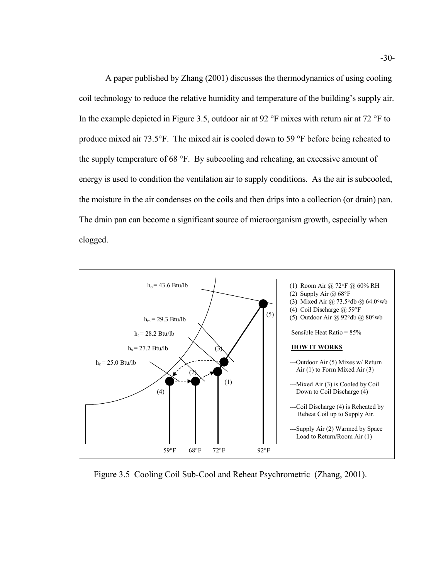A paper published by Zhang (2001) discusses the thermodynamics of using cooling coil technology to reduce the relative humidity and temperature of the building's supply air. In the example depicted in Figure 3.5, outdoor air at 92 °F mixes with return air at 72 °F to produce mixed air 73.5°F. The mixed air is cooled down to 59 °F before being reheated to the supply temperature of 68 °F. By subcooling and reheating, an excessive amount of energy is used to condition the ventilation air to supply conditions. As the air is subcooled, the moisture in the air condenses on the coils and then drips into a collection (or drain) pan. The drain pan can become a significant source of microorganism growth, especially when clogged.



Figure 3.5 Cooling Coil Sub-Cool and Reheat Psychrometric (Zhang, 2001).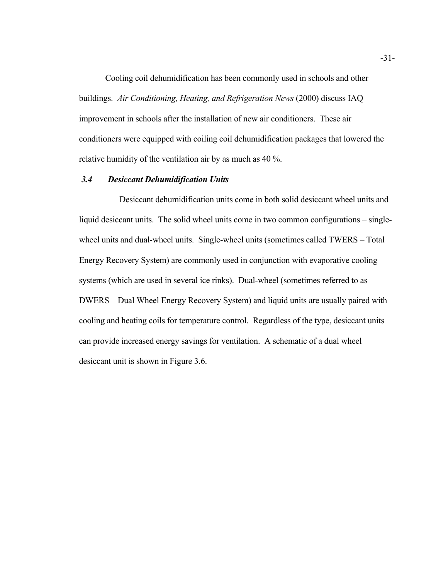Cooling coil dehumidification has been commonly used in schools and other buildings. *Air Conditioning, Heating, and Refrigeration News* (2000) discuss IAQ improvement in schools after the installation of new air conditioners. These air conditioners were equipped with coiling coil dehumidification packages that lowered the relative humidity of the ventilation air by as much as 40 %.

#### *3.4 Desiccant Dehumidification Units*

Desiccant dehumidification units come in both solid desiccant wheel units and liquid desiccant units. The solid wheel units come in two common configurations – singlewheel units and dual-wheel units. Single-wheel units (sometimes called TWERS – Total Energy Recovery System) are commonly used in conjunction with evaporative cooling systems (which are used in several ice rinks). Dual-wheel (sometimes referred to as DWERS – Dual Wheel Energy Recovery System) and liquid units are usually paired with cooling and heating coils for temperature control. Regardless of the type, desiccant units can provide increased energy savings for ventilation. A schematic of a dual wheel desiccant unit is shown in Figure 3.6.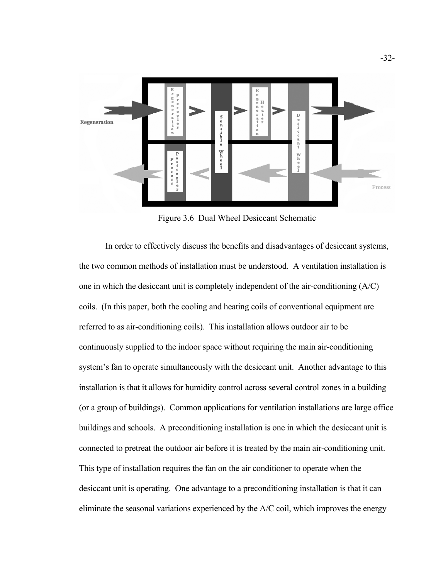

Figure 3.6 Dual Wheel Desiccant Schematic

In order to effectively discuss the benefits and disadvantages of desiccant systems, the two common methods of installation must be understood. A ventilation installation is one in which the desiccant unit is completely independent of the air-conditioning (A/C) coils. (In this paper, both the cooling and heating coils of conventional equipment are referred to as air-conditioning coils). This installation allows outdoor air to be continuously supplied to the indoor space without requiring the main air-conditioning system's fan to operate simultaneously with the desiccant unit. Another advantage to this installation is that it allows for humidity control across several control zones in a building (or a group of buildings). Common applications for ventilation installations are large office buildings and schools. A preconditioning installation is one in which the desiccant unit is connected to pretreat the outdoor air before it is treated by the main air-conditioning unit. This type of installation requires the fan on the air conditioner to operate when the desiccant unit is operating. One advantage to a preconditioning installation is that it can eliminate the seasonal variations experienced by the A/C coil, which improves the energy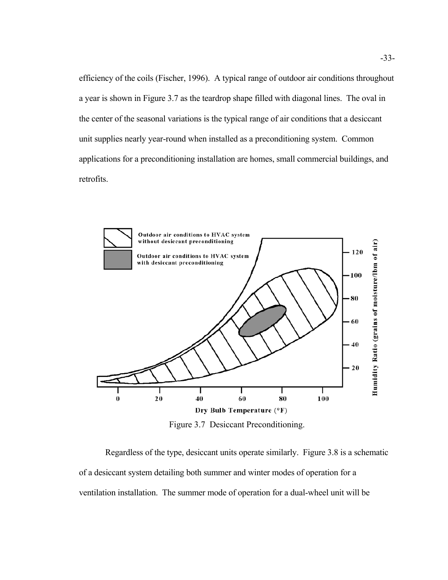efficiency of the coils (Fischer, 1996). A typical range of outdoor air conditions throughout a year is shown in Figure 3.7 as the teardrop shape filled with diagonal lines. The oval in the center of the seasonal variations is the typical range of air conditions that a desiccant unit supplies nearly year-round when installed as a preconditioning system. Common applications for a preconditioning installation are homes, small commercial buildings, and retrofits.



Figure 3.7 Desiccant Preconditioning.

Regardless of the type, desiccant units operate similarly. Figure 3.8 is a schematic of a desiccant system detailing both summer and winter modes of operation for a ventilation installation. The summer mode of operation for a dual-wheel unit will be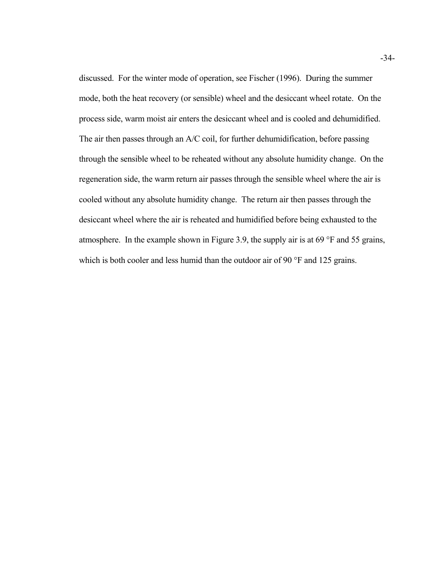discussed. For the winter mode of operation, see Fischer (1996). During the summer mode, both the heat recovery (or sensible) wheel and the desiccant wheel rotate. On the process side, warm moist air enters the desiccant wheel and is cooled and dehumidified. The air then passes through an A/C coil, for further dehumidification, before passing through the sensible wheel to be reheated without any absolute humidity change. On the regeneration side, the warm return air passes through the sensible wheel where the air is cooled without any absolute humidity change. The return air then passes through the desiccant wheel where the air is reheated and humidified before being exhausted to the atmosphere. In the example shown in Figure 3.9, the supply air is at 69 °F and 55 grains, which is both cooler and less humid than the outdoor air of 90 °F and 125 grains.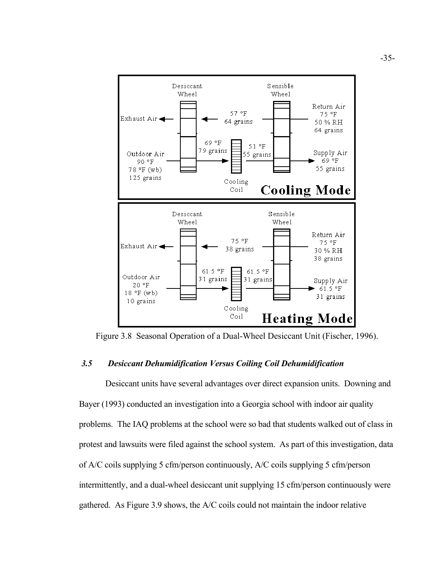

Figure 3.8 Seasonal Operation of a Dual-Wheel Desiccant Unit (Fischer, 1996).

### *3.5 Desiccant Dehumidification Versus Coiling Coil Dehumidification*

Desiccant units have several advantages over direct expansion units. Downing and Bayer (1993) conducted an investigation into a Georgia school with indoor air quality problems. The IAQ problems at the school were so bad that students walked out of class in protest and lawsuits were filed against the school system. As part of this investigation, data of A/C coils supplying 5 cfm/person continuously, A/C coils supplying 5 cfm/person intermittently, and a dual-wheel desiccant unit supplying 15 cfm/person continuously were gathered. As Figure 3.9 shows, the A/C coils could not maintain the indoor relative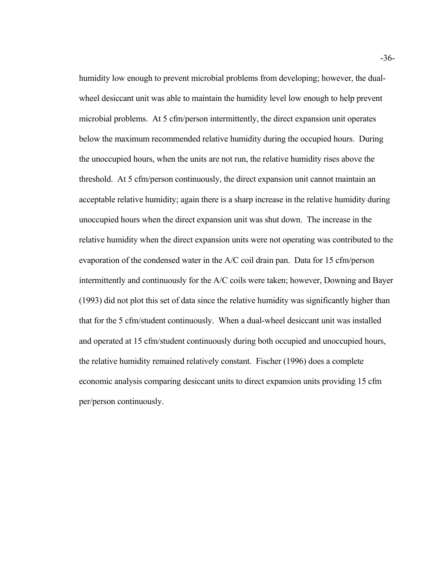humidity low enough to prevent microbial problems from developing; however, the dualwheel desiccant unit was able to maintain the humidity level low enough to help prevent microbial problems. At 5 cfm/person intermittently, the direct expansion unit operates below the maximum recommended relative humidity during the occupied hours. During the unoccupied hours, when the units are not run, the relative humidity rises above the threshold. At 5 cfm/person continuously, the direct expansion unit cannot maintain an acceptable relative humidity; again there is a sharp increase in the relative humidity during unoccupied hours when the direct expansion unit was shut down. The increase in the relative humidity when the direct expansion units were not operating was contributed to the evaporation of the condensed water in the A/C coil drain pan. Data for 15 cfm/person intermittently and continuously for the A/C coils were taken; however, Downing and Bayer (1993) did not plot this set of data since the relative humidity was significantly higher than that for the 5 cfm/student continuously. When a dual-wheel desiccant unit was installed and operated at 15 cfm/student continuously during both occupied and unoccupied hours, the relative humidity remained relatively constant. Fischer (1996) does a complete economic analysis comparing desiccant units to direct expansion units providing 15 cfm per/person continuously.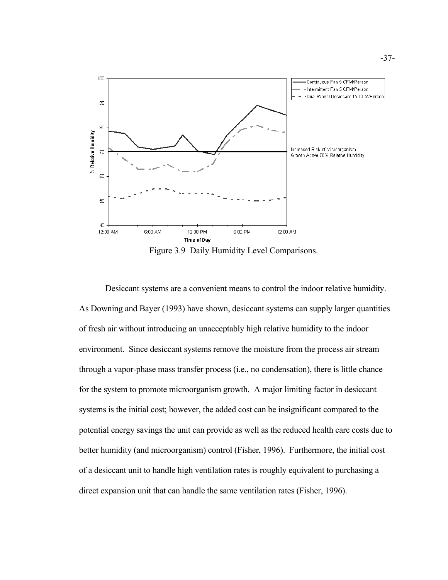

Figure 3.9 Daily Humidity Level Comparisons.

Desiccant systems are a convenient means to control the indoor relative humidity. As Downing and Bayer (1993) have shown, desiccant systems can supply larger quantities of fresh air without introducing an unacceptably high relative humidity to the indoor environment. Since desiccant systems remove the moisture from the process air stream through a vapor-phase mass transfer process (i.e., no condensation), there is little chance for the system to promote microorganism growth. A major limiting factor in desiccant systems is the initial cost; however, the added cost can be insignificant compared to the potential energy savings the unit can provide as well as the reduced health care costs due to better humidity (and microorganism) control (Fisher, 1996). Furthermore, the initial cost of a desiccant unit to handle high ventilation rates is roughly equivalent to purchasing a direct expansion unit that can handle the same ventilation rates (Fisher, 1996).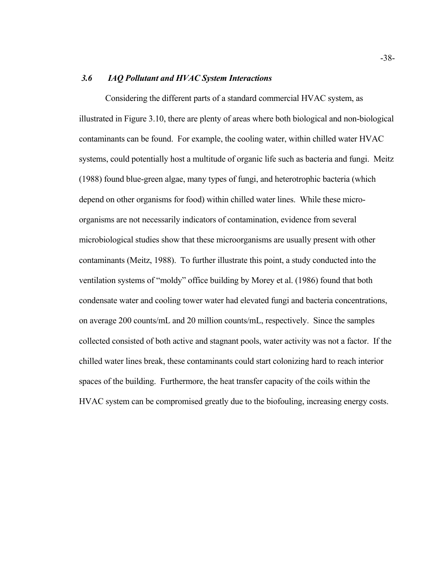#### *3.6 IAQ Pollutant and HVAC System Interactions*

Considering the different parts of a standard commercial HVAC system, as illustrated in Figure 3.10, there are plenty of areas where both biological and non-biological contaminants can be found. For example, the cooling water, within chilled water HVAC systems, could potentially host a multitude of organic life such as bacteria and fungi. Meitz (1988) found blue-green algae, many types of fungi, and heterotrophic bacteria (which depend on other organisms for food) within chilled water lines. While these microorganisms are not necessarily indicators of contamination, evidence from several microbiological studies show that these microorganisms are usually present with other contaminants (Meitz, 1988). To further illustrate this point, a study conducted into the ventilation systems of "moldy" office building by Morey et al. (1986) found that both condensate water and cooling tower water had elevated fungi and bacteria concentrations, on average 200 counts/mL and 20 million counts/mL, respectively. Since the samples collected consisted of both active and stagnant pools, water activity was not a factor. If the chilled water lines break, these contaminants could start colonizing hard to reach interior spaces of the building. Furthermore, the heat transfer capacity of the coils within the HVAC system can be compromised greatly due to the biofouling, increasing energy costs.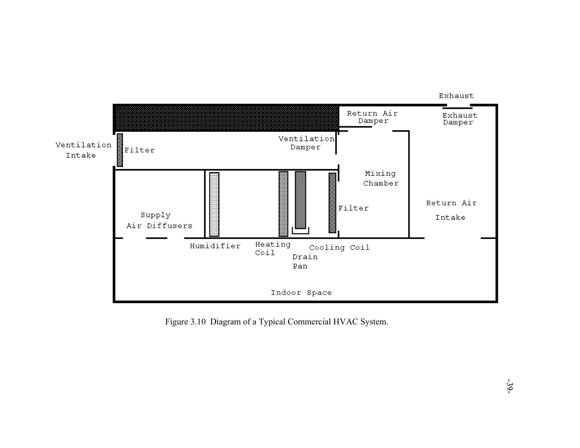

Figure 3.10 Diagram of a Typical Commercial HVAC System.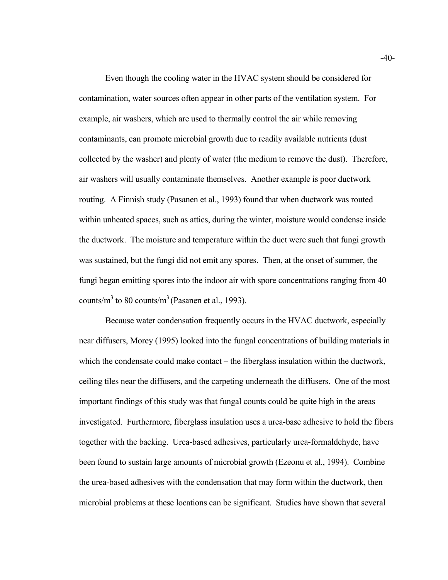Even though the cooling water in the HVAC system should be considered for contamination, water sources often appear in other parts of the ventilation system. For example, air washers, which are used to thermally control the air while removing contaminants, can promote microbial growth due to readily available nutrients (dust collected by the washer) and plenty of water (the medium to remove the dust). Therefore, air washers will usually contaminate themselves. Another example is poor ductwork routing. A Finnish study (Pasanen et al., 1993) found that when ductwork was routed within unheated spaces, such as attics, during the winter, moisture would condense inside the ductwork. The moisture and temperature within the duct were such that fungi growth was sustained, but the fungi did not emit any spores. Then, at the onset of summer, the fungi began emitting spores into the indoor air with spore concentrations ranging from 40 counts/m<sup>3</sup> to 80 counts/m<sup>3</sup> (Pasanen et al., 1993).

Because water condensation frequently occurs in the HVAC ductwork, especially near diffusers, Morey (1995) looked into the fungal concentrations of building materials in which the condensate could make contact – the fiberglass insulation within the ductwork, ceiling tiles near the diffusers, and the carpeting underneath the diffusers. One of the most important findings of this study was that fungal counts could be quite high in the areas investigated. Furthermore, fiberglass insulation uses a urea-base adhesive to hold the fibers together with the backing. Urea-based adhesives, particularly urea-formaldehyde, have been found to sustain large amounts of microbial growth (Ezeonu et al., 1994). Combine the urea-based adhesives with the condensation that may form within the ductwork, then microbial problems at these locations can be significant. Studies have shown that several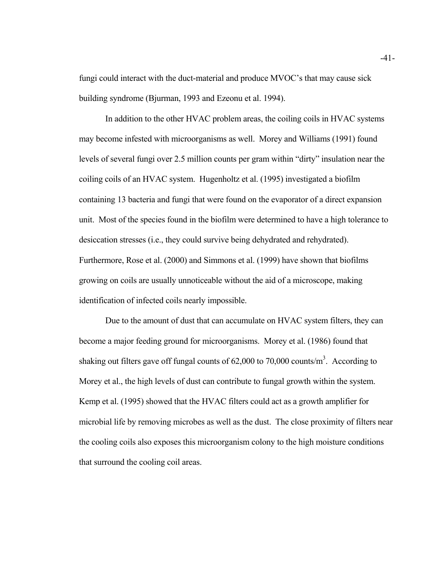fungi could interact with the duct-material and produce MVOC's that may cause sick building syndrome (Bjurman, 1993 and Ezeonu et al. 1994).

In addition to the other HVAC problem areas, the coiling coils in HVAC systems may become infested with microorganisms as well. Morey and Williams (1991) found levels of several fungi over 2.5 million counts per gram within "dirty" insulation near the coiling coils of an HVAC system. Hugenholtz et al. (1995) investigated a biofilm containing 13 bacteria and fungi that were found on the evaporator of a direct expansion unit. Most of the species found in the biofilm were determined to have a high tolerance to desiccation stresses (i.e., they could survive being dehydrated and rehydrated). Furthermore, Rose et al. (2000) and Simmons et al. (1999) have shown that biofilms growing on coils are usually unnoticeable without the aid of a microscope, making identification of infected coils nearly impossible.

Due to the amount of dust that can accumulate on HVAC system filters, they can become a major feeding ground for microorganisms. Morey et al. (1986) found that shaking out filters gave off fungal counts of  $62,000$  to  $70,000$  counts/m<sup>3</sup>. According to Morey et al., the high levels of dust can contribute to fungal growth within the system. Kemp et al. (1995) showed that the HVAC filters could act as a growth amplifier for microbial life by removing microbes as well as the dust. The close proximity of filters near the cooling coils also exposes this microorganism colony to the high moisture conditions that surround the cooling coil areas.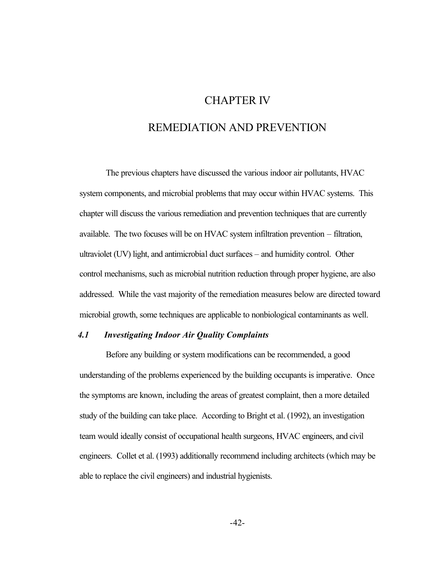## CHAPTER IV

# REMEDIATION AND PREVENTION

The previous chapters have discussed the various indoor air pollutants, HVAC system components, and microbial problems that may occur within HVAC systems. This chapter will discuss the various remediation and prevention techniques that are currently available. The two focuses will be on HVAC system infiltration prevention – filtration, ultraviolet (UV) light, and antimicrobial duct surfaces – and humidity control. Other control mechanisms, such as microbial nutrition reduction through proper hygiene, are also addressed. While the vast majority of the remediation measures below are directed toward microbial growth, some techniques are applicable to nonbiological contaminants as well.

#### *4.1 Investigating Indoor Air Quality Complaints*

Before any building or system modifications can be recommended, a good understanding of the problems experienced by the building occupants is imperative. Once the symptoms are known, including the areas of greatest complaint, then a more detailed study of the building can take place. According to Bright et al. (1992), an investigation team would ideally consist of occupational health surgeons, HVAC engineers, and civil engineers. Collet et al. (1993) additionally recommend including architects (which may be able to replace the civil engineers) and industrial hygienists.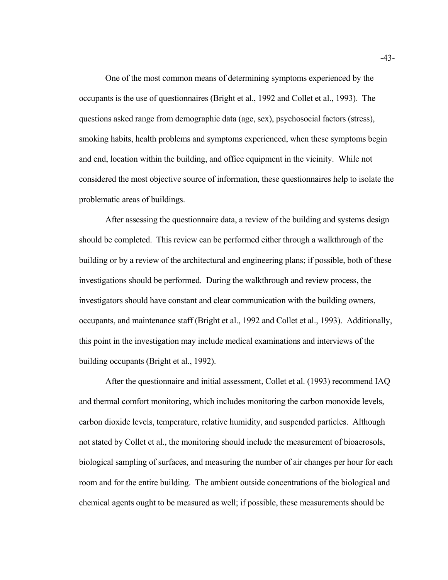One of the most common means of determining symptoms experienced by the occupants is the use of questionnaires (Bright et al., 1992 and Collet et al., 1993). The questions asked range from demographic data (age, sex), psychosocial factors (stress), smoking habits, health problems and symptoms experienced, when these symptoms begin and end, location within the building, and office equipment in the vicinity. While not considered the most objective source of information, these questionnaires help to isolate the problematic areas of buildings.

After assessing the questionnaire data, a review of the building and systems design should be completed. This review can be performed either through a walkthrough of the building or by a review of the architectural and engineering plans; if possible, both of these investigations should be performed. During the walkthrough and review process, the investigators should have constant and clear communication with the building owners, occupants, and maintenance staff (Bright et al., 1992 and Collet et al., 1993). Additionally, this point in the investigation may include medical examinations and interviews of the building occupants (Bright et al., 1992).

After the questionnaire and initial assessment, Collet et al. (1993) recommend IAQ and thermal comfort monitoring, which includes monitoring the carbon monoxide levels, carbon dioxide levels, temperature, relative humidity, and suspended particles. Although not stated by Collet et al., the monitoring should include the measurement of bioaerosols, biological sampling of surfaces, and measuring the number of air changes per hour for each room and for the entire building. The ambient outside concentrations of the biological and chemical agents ought to be measured as well; if possible, these measurements should be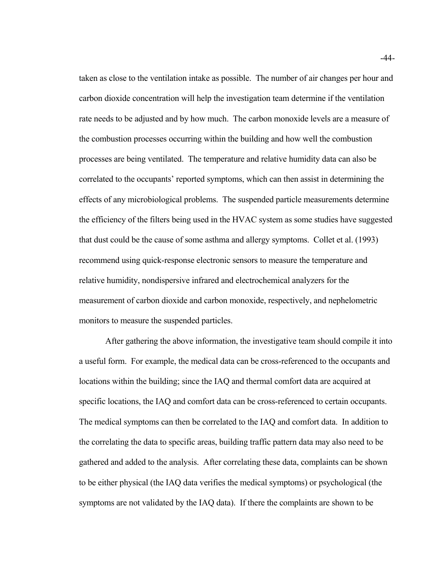taken as close to the ventilation intake as possible. The number of air changes per hour and carbon dioxide concentration will help the investigation team determine if the ventilation rate needs to be adjusted and by how much. The carbon monoxide levels are a measure of the combustion processes occurring within the building and how well the combustion processes are being ventilated. The temperature and relative humidity data can also be correlated to the occupants' reported symptoms, which can then assist in determining the effects of any microbiological problems. The suspended particle measurements determine the efficiency of the filters being used in the HVAC system as some studies have suggested that dust could be the cause of some asthma and allergy symptoms. Collet et al. (1993) recommend using quick-response electronic sensors to measure the temperature and relative humidity, nondispersive infrared and electrochemical analyzers for the measurement of carbon dioxide and carbon monoxide, respectively, and nephelometric monitors to measure the suspended particles.

After gathering the above information, the investigative team should compile it into a useful form. For example, the medical data can be cross-referenced to the occupants and locations within the building; since the IAQ and thermal comfort data are acquired at specific locations, the IAQ and comfort data can be cross-referenced to certain occupants. The medical symptoms can then be correlated to the IAQ and comfort data. In addition to the correlating the data to specific areas, building traffic pattern data may also need to be gathered and added to the analysis. After correlating these data, complaints can be shown to be either physical (the IAQ data verifies the medical symptoms) or psychological (the symptoms are not validated by the IAQ data). If there the complaints are shown to be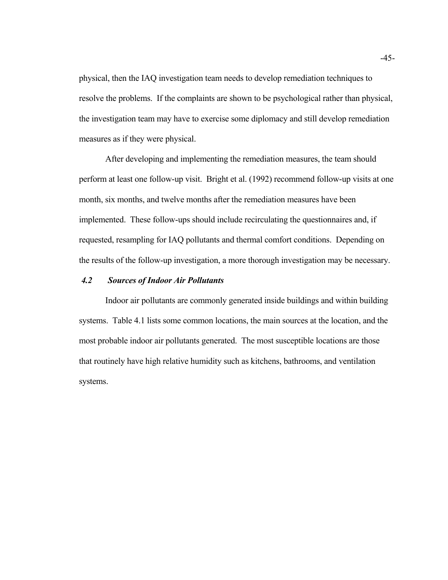physical, then the IAQ investigation team needs to develop remediation techniques to resolve the problems. If the complaints are shown to be psychological rather than physical, the investigation team may have to exercise some diplomacy and still develop remediation measures as if they were physical.

After developing and implementing the remediation measures, the team should perform at least one follow-up visit. Bright et al. (1992) recommend follow-up visits at one month, six months, and twelve months after the remediation measures have been implemented. These follow-ups should include recirculating the questionnaires and, if requested, resampling for IAQ pollutants and thermal comfort conditions. Depending on the results of the follow-up investigation, a more thorough investigation may be necessary.

#### *4.2 Sources of Indoor Air Pollutants*

Indoor air pollutants are commonly generated inside buildings and within building systems. Table 4.1 lists some common locations, the main sources at the location, and the most probable indoor air pollutants generated. The most susceptible locations are those that routinely have high relative humidity such as kitchens, bathrooms, and ventilation systems.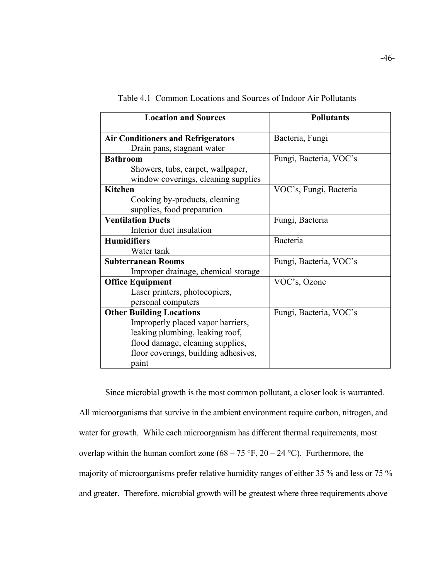| <b>Location and Sources</b>                                                                                                                                                                  | <b>Pollutants</b>      |  |
|----------------------------------------------------------------------------------------------------------------------------------------------------------------------------------------------|------------------------|--|
| <b>Air Conditioners and Refrigerators</b><br>Drain pans, stagnant water                                                                                                                      | Bacteria, Fungi        |  |
| <b>Bathroom</b><br>Showers, tubs, carpet, wallpaper,                                                                                                                                         | Fungi, Bacteria, VOC's |  |
| window coverings, cleaning supplies<br><b>Kitchen</b><br>Cooking by-products, cleaning                                                                                                       | VOC's, Fungi, Bacteria |  |
| supplies, food preparation<br><b>Ventilation Ducts</b><br>Interior duct insulation                                                                                                           | Fungi, Bacteria        |  |
| <b>Humidifiers</b><br>Water tank                                                                                                                                                             | Bacteria               |  |
| <b>Subterranean Rooms</b><br>Improper drainage, chemical storage                                                                                                                             | Fungi, Bacteria, VOC's |  |
| <b>Office Equipment</b><br>Laser printers, photocopiers,<br>personal computers                                                                                                               | VOC's, Ozone           |  |
| <b>Other Building Locations</b><br>Improperly placed vapor barriers,<br>leaking plumbing, leaking roof,<br>flood damage, cleaning supplies,<br>floor coverings, building adhesives,<br>paint | Fungi, Bacteria, VOC's |  |

Table 4.1 Common Locations and Sources of Indoor Air Pollutants

Since microbial growth is the most common pollutant, a closer look is warranted. All microorganisms that survive in the ambient environment require carbon, nitrogen, and water for growth. While each microorganism has different thermal requirements, most overlap within the human comfort zone  $(68 - 75 \text{ °F}, 20 - 24 \text{ °C})$ . Furthermore, the majority of microorganisms prefer relative humidity ranges of either 35 % and less or 75 % and greater. Therefore, microbial growth will be greatest where three requirements above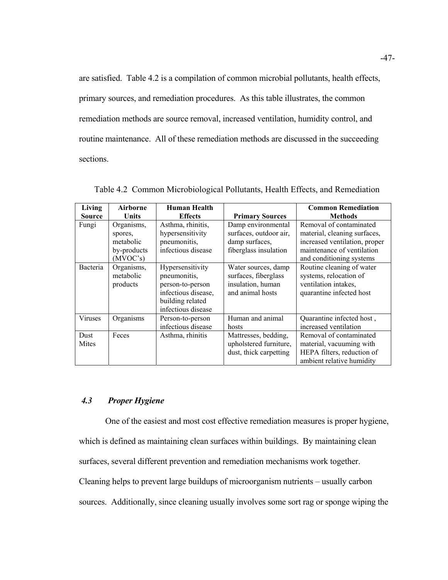are satisfied. Table 4.2 is a compilation of common microbial pollutants, health effects, primary sources, and remediation procedures. As this table illustrates, the common remediation methods are source removal, increased ventilation, humidity control, and routine maintenance. All of these remediation methods are discussed in the succeeding sections.

| Living        | <b>Airborne</b>                                               | <b>Human Health</b>                                                                                                   |                                                                                         | <b>Common Remediation</b>                                                                                                                          |
|---------------|---------------------------------------------------------------|-----------------------------------------------------------------------------------------------------------------------|-----------------------------------------------------------------------------------------|----------------------------------------------------------------------------------------------------------------------------------------------------|
| Source        | Units                                                         | <b>Effects</b>                                                                                                        | <b>Primary Sources</b>                                                                  | <b>Methods</b>                                                                                                                                     |
| Fungi         | Organisms,<br>spores,<br>metabolic<br>by-products<br>(MVOC's) | Asthma, rhinitis,<br>hypersensitivity<br>pneumonitis,<br>infectious disease                                           | Damp environmental<br>surfaces, outdoor air,<br>damp surfaces,<br>fiberglass insulation | Removal of contaminated<br>material, cleaning surfaces,<br>increased ventilation, proper<br>maintenance of ventilation<br>and conditioning systems |
| Bacteria      | Organisms,<br>metabolic<br>products                           | Hypersensitivity<br>pneumonitis,<br>person-to-person<br>infectious disease,<br>building related<br>infectious disease | Water sources, damp<br>surfaces, fiberglass<br>insulation, human<br>and animal hosts    | Routine cleaning of water<br>systems, relocation of<br>ventilation intakes,<br>quarantine infected host                                            |
| Viruses       | Organisms                                                     | Person-to-person<br>infectious disease                                                                                | Human and animal<br>hosts                                                               | Quarantine infected host,<br>increased ventilation                                                                                                 |
| Dust<br>Mites | Feces                                                         | Asthma, rhinitis                                                                                                      | Mattresses, bedding,<br>upholstered furniture,<br>dust, thick carpetting                | Removal of contaminated<br>material, vacuuming with<br>HEPA filters, reduction of<br>ambient relative humidity                                     |

Table 4.2 Common Microbiological Pollutants, Health Effects, and Remediation

## *4.3 Proper Hygiene*

One of the easiest and most cost effective remediation measures is proper hygiene,

which is defined as maintaining clean surfaces within buildings. By maintaining clean

surfaces, several different prevention and remediation mechanisms work together.

Cleaning helps to prevent large buildups of microorganism nutrients – usually carbon

sources. Additionally, since cleaning usually involves some sort rag or sponge wiping the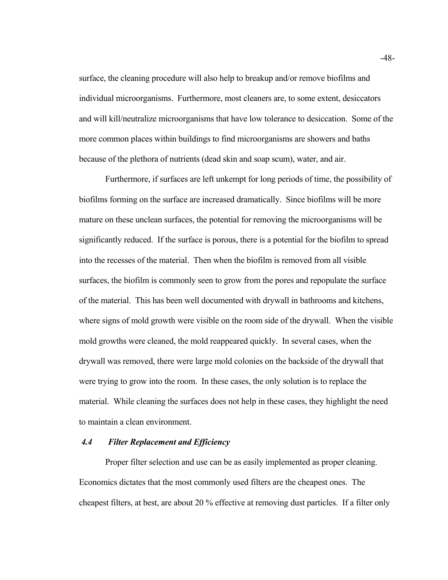surface, the cleaning procedure will also help to breakup and/or remove biofilms and individual microorganisms. Furthermore, most cleaners are, to some extent, desiccators and will kill/neutralize microorganisms that have low tolerance to desiccation. Some of the more common places within buildings to find microorganisms are showers and baths because of the plethora of nutrients (dead skin and soap scum), water, and air.

Furthermore, if surfaces are left unkempt for long periods of time, the possibility of biofilms forming on the surface are increased dramatically. Since biofilms will be more mature on these unclean surfaces, the potential for removing the microorganisms will be significantly reduced. If the surface is porous, there is a potential for the biofilm to spread into the recesses of the material. Then when the biofilm is removed from all visible surfaces, the biofilm is commonly seen to grow from the pores and repopulate the surface of the material. This has been well documented with drywall in bathrooms and kitchens, where signs of mold growth were visible on the room side of the drywall. When the visible mold growths were cleaned, the mold reappeared quickly. In several cases, when the drywall was removed, there were large mold colonies on the backside of the drywall that were trying to grow into the room. In these cases, the only solution is to replace the material. While cleaning the surfaces does not help in these cases, they highlight the need to maintain a clean environment.

#### *4.4 Filter Replacement and Efficiency*

Proper filter selection and use can be as easily implemented as proper cleaning. Economics dictates that the most commonly used filters are the cheapest ones. The cheapest filters, at best, are about 20 % effective at removing dust particles. If a filter only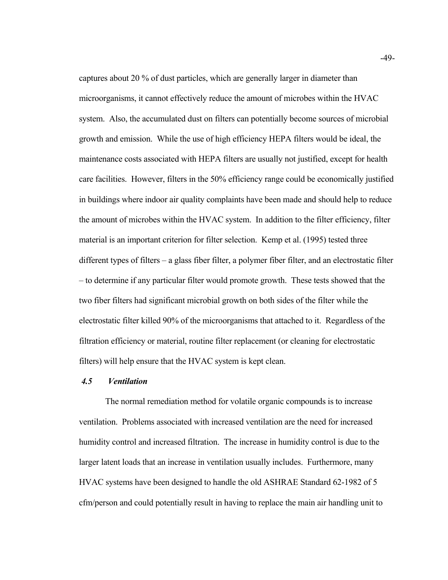captures about 20 % of dust particles, which are generally larger in diameter than microorganisms, it cannot effectively reduce the amount of microbes within the HVAC system. Also, the accumulated dust on filters can potentially become sources of microbial growth and emission. While the use of high efficiency HEPA filters would be ideal, the maintenance costs associated with HEPA filters are usually not justified, except for health care facilities. However, filters in the 50% efficiency range could be economically justified in buildings where indoor air quality complaints have been made and should help to reduce the amount of microbes within the HVAC system. In addition to the filter efficiency, filter material is an important criterion for filter selection. Kemp et al. (1995) tested three different types of filters – a glass fiber filter, a polymer fiber filter, and an electrostatic filter – to determine if any particular filter would promote growth. These tests showed that the two fiber filters had significant microbial growth on both sides of the filter while the electrostatic filter killed 90% of the microorganisms that attached to it. Regardless of the filtration efficiency or material, routine filter replacement (or cleaning for electrostatic filters) will help ensure that the HVAC system is kept clean.

#### *4.5 Ventilation*

The normal remediation method for volatile organic compounds is to increase ventilation. Problems associated with increased ventilation are the need for increased humidity control and increased filtration. The increase in humidity control is due to the larger latent loads that an increase in ventilation usually includes. Furthermore, many HVAC systems have been designed to handle the old ASHRAE Standard 62-1982 of 5 cfm/person and could potentially result in having to replace the main air handling unit to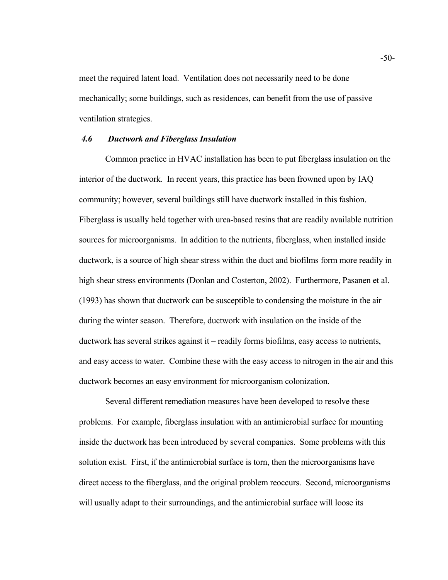meet the required latent load. Ventilation does not necessarily need to be done mechanically; some buildings, such as residences, can benefit from the use of passive ventilation strategies.

#### *4.6 Ductwork and Fiberglass Insulation*

Common practice in HVAC installation has been to put fiberglass insulation on the interior of the ductwork. In recent years, this practice has been frowned upon by IAQ community; however, several buildings still have ductwork installed in this fashion. Fiberglass is usually held together with urea-based resins that are readily available nutrition sources for microorganisms. In addition to the nutrients, fiberglass, when installed inside ductwork, is a source of high shear stress within the duct and biofilms form more readily in high shear stress environments (Donlan and Costerton, 2002). Furthermore, Pasanen et al. (1993) has shown that ductwork can be susceptible to condensing the moisture in the air during the winter season. Therefore, ductwork with insulation on the inside of the ductwork has several strikes against it – readily forms biofilms, easy access to nutrients, and easy access to water. Combine these with the easy access to nitrogen in the air and this ductwork becomes an easy environment for microorganism colonization.

Several different remediation measures have been developed to resolve these problems. For example, fiberglass insulation with an antimicrobial surface for mounting inside the ductwork has been introduced by several companies. Some problems with this solution exist. First, if the antimicrobial surface is torn, then the microorganisms have direct access to the fiberglass, and the original problem reoccurs. Second, microorganisms will usually adapt to their surroundings, and the antimicrobial surface will loose its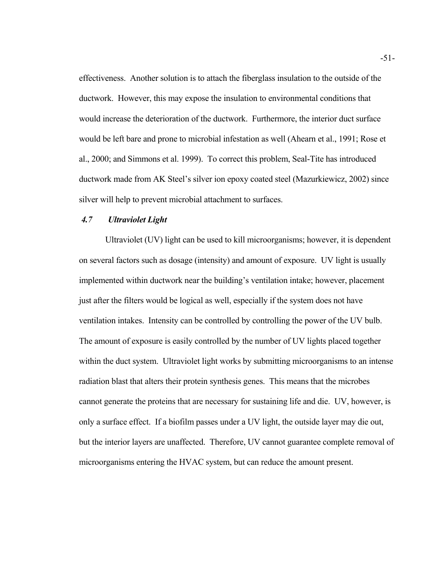effectiveness. Another solution is to attach the fiberglass insulation to the outside of the ductwork. However, this may expose the insulation to environmental conditions that would increase the deterioration of the ductwork. Furthermore, the interior duct surface would be left bare and prone to microbial infestation as well (Ahearn et al., 1991; Rose et al., 2000; and Simmons et al. 1999). To correct this problem, Seal-Tite has introduced ductwork made from AK Steel's silver ion epoxy coated steel (Mazurkiewicz, 2002) since silver will help to prevent microbial attachment to surfaces.

#### *4.7 Ultraviolet Light*

Ultraviolet (UV) light can be used to kill microorganisms; however, it is dependent on several factors such as dosage (intensity) and amount of exposure. UV light is usually implemented within ductwork near the building's ventilation intake; however, placement just after the filters would be logical as well, especially if the system does not have ventilation intakes. Intensity can be controlled by controlling the power of the UV bulb. The amount of exposure is easily controlled by the number of UV lights placed together within the duct system. Ultraviolet light works by submitting microorganisms to an intense radiation blast that alters their protein synthesis genes. This means that the microbes cannot generate the proteins that are necessary for sustaining life and die. UV, however, is only a surface effect. If a biofilm passes under a UV light, the outside layer may die out, but the interior layers are unaffected. Therefore, UV cannot guarantee complete removal of microorganisms entering the HVAC system, but can reduce the amount present.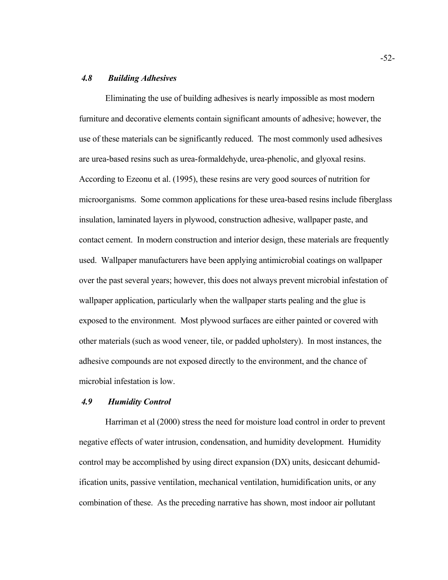### *4.8 Building Adhesives*

Eliminating the use of building adhesives is nearly impossible as most modern furniture and decorative elements contain significant amounts of adhesive; however, the use of these materials can be significantly reduced. The most commonly used adhesives are urea-based resins such as urea-formaldehyde, urea-phenolic, and glyoxal resins. According to Ezeonu et al. (1995), these resins are very good sources of nutrition for microorganisms. Some common applications for these urea-based resins include fiberglass insulation, laminated layers in plywood, construction adhesive, wallpaper paste, and contact cement. In modern construction and interior design, these materials are frequently used. Wallpaper manufacturers have been applying antimicrobial coatings on wallpaper over the past several years; however, this does not always prevent microbial infestation of wallpaper application, particularly when the wallpaper starts pealing and the glue is exposed to the environment. Most plywood surfaces are either painted or covered with other materials (such as wood veneer, tile, or padded upholstery). In most instances, the adhesive compounds are not exposed directly to the environment, and the chance of microbial infestation is low.

#### *4.9 Humidity Control*

Harriman et al (2000) stress the need for moisture load control in order to prevent negative effects of water intrusion, condensation, and humidity development. Humidity control may be accomplished by using direct expansion (DX) units, desiccant dehumidification units, passive ventilation, mechanical ventilation, humidification units, or any combination of these. As the preceding narrative has shown, most indoor air pollutant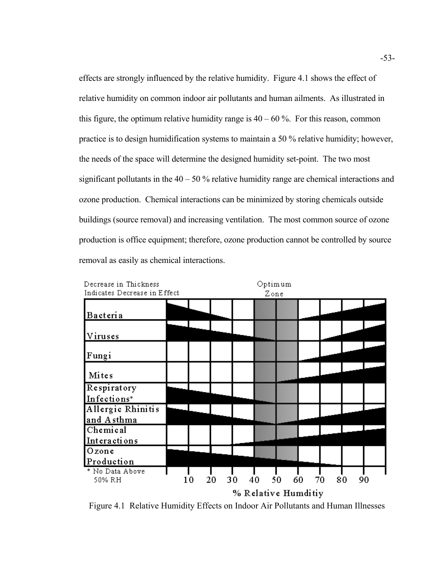effects are strongly influenced by the relative humidity. Figure 4.1 shows the effect of relative humidity on common indoor air pollutants and human ailments. As illustrated in this figure, the optimum relative humidity range is  $40 - 60$  %. For this reason, common practice is to design humidification systems to maintain a 50 % relative humidity; however, the needs of the space will determine the designed humidity set-point. The two most significant pollutants in the  $40 - 50$ % relative humidity range are chemical interactions and ozone production. Chemical interactions can be minimized by storing chemicals outside buildings (source removal) and increasing ventilation. The most common source of ozone production is office equipment; therefore, ozone production cannot be controlled by source removal as easily as chemical interactions.



 Figure 4.1 Relative Humidity Effects on Indoor Air Pollutants and Human Illnesses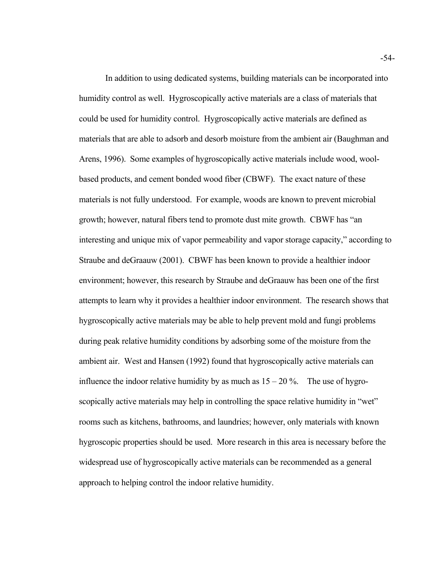In addition to using dedicated systems, building materials can be incorporated into humidity control as well. Hygroscopically active materials are a class of materials that could be used for humidity control. Hygroscopically active materials are defined as materials that are able to adsorb and desorb moisture from the ambient air (Baughman and Arens, 1996). Some examples of hygroscopically active materials include wood, woolbased products, and cement bonded wood fiber (CBWF). The exact nature of these materials is not fully understood. For example, woods are known to prevent microbial growth; however, natural fibers tend to promote dust mite growth. CBWF has "an interesting and unique mix of vapor permeability and vapor storage capacity," according to Straube and deGraauw (2001). CBWF has been known to provide a healthier indoor environment; however, this research by Straube and deGraauw has been one of the first attempts to learn why it provides a healthier indoor environment. The research shows that hygroscopically active materials may be able to help prevent mold and fungi problems during peak relative humidity conditions by adsorbing some of the moisture from the ambient air. West and Hansen (1992) found that hygroscopically active materials can influence the indoor relative humidity by as much as  $15 - 20\%$ . The use of hygroscopically active materials may help in controlling the space relative humidity in "wet" rooms such as kitchens, bathrooms, and laundries; however, only materials with known hygroscopic properties should be used. More research in this area is necessary before the widespread use of hygroscopically active materials can be recommended as a general approach to helping control the indoor relative humidity.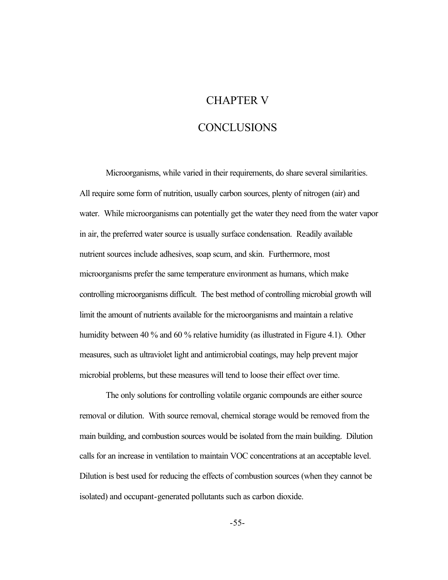## CHAPTER V

# **CONCLUSIONS**

Microorganisms, while varied in their requirements, do share several similarities. All require some form of nutrition, usually carbon sources, plenty of nitrogen (air) and water. While microorganisms can potentially get the water they need from the water vapor in air, the preferred water source is usually surface condensation. Readily available nutrient sources include adhesives, soap scum, and skin. Furthermore, most microorganisms prefer the same temperature environment as humans, which make controlling microorganisms difficult. The best method of controlling microbial growth will limit the amount of nutrients available for the microorganisms and maintain a relative humidity between 40 % and 60 % relative humidity (as illustrated in Figure 4.1). Other measures, such as ultraviolet light and antimicrobial coatings, may help prevent major microbial problems, but these measures will tend to loose their effect over time.

The only solutions for controlling volatile organic compounds are either source removal or dilution. With source removal, chemical storage would be removed from the main building, and combustion sources would be isolated from the main building. Dilution calls for an increase in ventilation to maintain VOC concentrations at an acceptable level. Dilution is best used for reducing the effects of combustion sources (when they cannot be isolated) and occupant-generated pollutants such as carbon dioxide.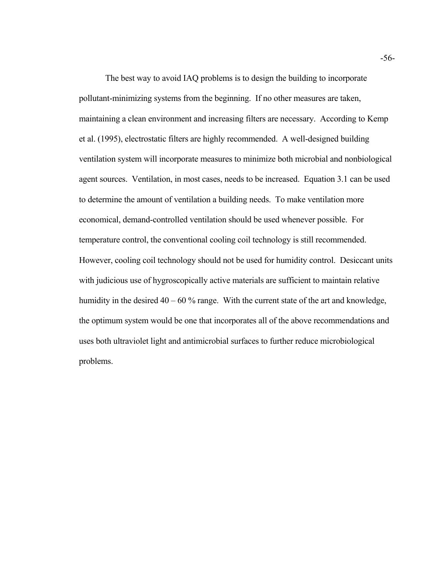The best way to avoid IAQ problems is to design the building to incorporate pollutant-minimizing systems from the beginning. If no other measures are taken, maintaining a clean environment and increasing filters are necessary. According to Kemp et al. (1995), electrostatic filters are highly recommended. A well-designed building ventilation system will incorporate measures to minimize both microbial and nonbiological agent sources. Ventilation, in most cases, needs to be increased. Equation 3.1 can be used to determine the amount of ventilation a building needs. To make ventilation more economical, demand-controlled ventilation should be used whenever possible. For temperature control, the conventional cooling coil technology is still recommended. However, cooling coil technology should not be used for humidity control. Desiccant units with judicious use of hygroscopically active materials are sufficient to maintain relative humidity in the desired  $40 - 60$  % range. With the current state of the art and knowledge, the optimum system would be one that incorporates all of the above recommendations and uses both ultraviolet light and antimicrobial surfaces to further reduce microbiological problems.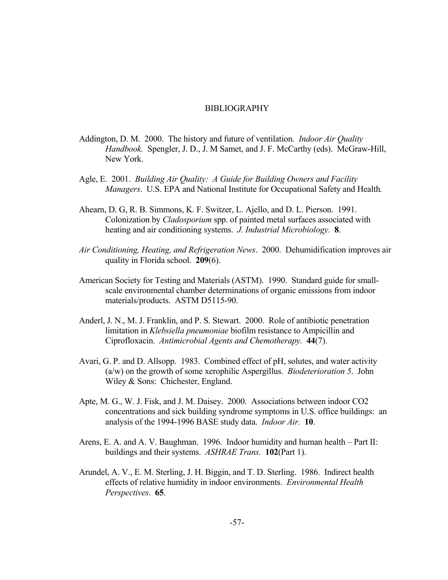#### BIBLIOGRAPHY

- Addington, D. M. 2000. The history and future of ventilation. *Indoor Air Quality Handbook.* Spengler, J. D., J. M Samet, and J. F. McCarthy (eds). McGraw-Hill, New York.
- Agle, E. 2001. *Building Air Quality: A Guide for Building Owners and Facility Managers*. U.S. EPA and National Institute for Occupational Safety and Health*.*
- heating and air conditioning systems. *J. Industrial Microbiology.* **8**. Ahearn, D. G, R. B. Simmons, K. F. Switzer, L. Ajello, and D. L. Pierson. 1991. Colonization by *Cladosporium* spp. of painted metal surfaces associated with
- *Air Conditioning, Heating, and Refrigeration News*. 2000. Dehumidification improves air quality in Florida school. **209**(6).
- American Society for Testing and Materials (ASTM). 1990. Standard guide for smallscale environmental chamber determinations of organic emissions from indoor materials/products. ASTM D5115-90.
- Ciprofloxacin. *Antimicrobial Agents and Chemotherapy.* **44**(7). Anderl, J. N., M. J. Franklin, and P. S. Stewart. 2000. Role of antibiotic penetration limitation in *Klebsiella pneumoniae* biofilm resistance to Ampicillin and
- Avari, G. P. and D. Allsopp. 1983. Combined effect of pH, solutes, and water activity (a/w) on the growth of some xerophilic Aspergillus. *Biodeterioration 5*. John Wiley & Sons: Chichester, England.
- analysis of the 1994-1996 BASE study data. *Indoor Air.* **10**. Apte, M. G., W. J. Fisk, and J. M. Daisey. 2000. Associations between indoor CO2 concentrations and sick building syndrome symptoms in U.S. office buildings: an
- buildings and their systems. *ASHRAE Trans.* **102**(Part 1). Arens, E. A. and A. V. Baughman. 1996. Indoor humidity and human health – Part II:
- Arundel, A. V., E. M. Sterling, J. H. Biggin, and T. D. Sterling. 1986. Indirect health effects of relative humidity in indoor environments. *Environmental Health Perspectives*. **65**.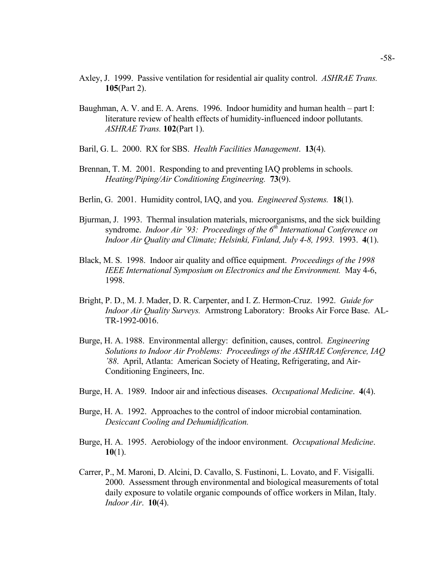- Axley, J. 1999. Passive ventilation for residential air quality control. *ASHRAE Trans.* **105**(Part 2).
- Baughman, A. V. and E. A. Arens. 1996. Indoor humidity and human health part I: literature review of health effects of humidity-influenced indoor pollutants. *ASHRAE Trans.* **102**(Part 1).
- Baril, G. L. 2000. RX for SBS. *Health Facilities Management*. **13**(4).
- Brennan, T. M. 2001. Responding to and preventing IAQ problems in schools. *Heating/Piping/Air Conditioning Engineering.* **73**(9).
- Berlin, G. 2001. Humidity control, IAQ, and you. *Engineered Systems.* **18**(1).
- Bjurman, J. 1993. Thermal insulation materials, microorganisms, and the sick building syndrome. *Indoor Air* `93: *Proceedings of the 6<sup>th</sup> International Conference on Indoor Air Quality and Climate; Helsinki, Finland, July 4-8, 1993.* 1993. **4**(1).
- Black, M. S. 1998. Indoor air quality and office equipment. *Proceedings of the 1998 IEEE International Symposium on Electronics and the Environment.* May 4-6, 1998.
- Bright, P. D., M. J. Mader, D. R. Carpenter, and I. Z. Hermon-Cruz. 1992. *Guide for Indoor Air Quality Surveys.* Armstrong Laboratory: Brooks Air Force Base. AL-TR-1992-0016.
- Burge, H. A. 1988. Environmental allergy: definition, causes, control. *Engineering Solutions to Indoor Air Problems: Proceedings of the ASHRAE Conference, IAQ '88*. April, Atlanta: American Society of Heating, Refrigerating, and Air-Conditioning Engineers, Inc.
- Burge, H. A. 1989. Indoor air and infectious diseases. *Occupational Medicine*. **4**(4).
- Burge, H. A. 1992. Approaches to the control of indoor microbial contamination. *Desiccant Cooling and Dehumidification.*
- Burge, H. A. 1995. Aerobiology of the indoor environment. *Occupational Medicine*. **10**(1).
- Carrer, P., M. Maroni, D. Alcini, D. Cavallo, S. Fustinoni, L. Lovato, and F. Visigalli. 2000. Assessment through environmental and biological measurements of total daily exposure to volatile organic compounds of office workers in Milan, Italy. *Indoor Air*. **10**(4).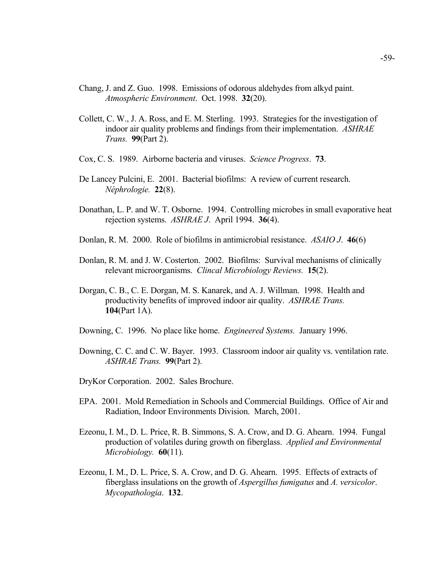- Chang, J. and Z. Guo. 1998. Emissions of odorous aldehydes from alkyd paint. *Atmospheric Environment*. Oct. 1998. **32**(20).
- *Trans.* **99**(Part 2). Collett, C. W., J. A. Ross, and E. M. Sterling. 1993. Strategies for the investigation of indoor air quality problems and findings from their implementation. *ASHRAE*
- Cox, C. S. 1989. Airborne bacteria and viruses. *Science Progress*. **73**.
- *Néphrologie.* **22**(8). De Lancey Pulcini, E. 2001. Bacterial biofilms: A review of current research.
- Donathan, L. P. and W. T. Osborne. 1994. Controlling microbes in small evaporative heat rejection systems. *ASHRAE J*. April 1994. **36**(4).
- Donlan, R. M. 2000. Role of biofilms in antimicrobial resistance. *ASAIO J*. **46**(6)
- relevant microorganisms. *Clincal Microbiology Reviews.* **15**(2). Donlan, R. M. and J. W. Costerton. 2002. Biofilms: Survival mechanisms of clinically
- productivity benefits of improved indoor air quality. *ASHRAE Trans.* Dorgan, C. B., C. E. Dorgan, M. S. Kanarek, and A. J. Willman. 1998. Health and **104**(Part 1A).
- Downing, C. 1996. No place like home. *Engineered Systems.* January 1996.
- *ASHRAE Trans.* **99**(Part 2). Downing, C. C. and C. W. Bayer. 1993. Classroom indoor air quality vs. ventilation rate.
- DryKor Corporation. 2002. Sales Brochure.
- EPA. 2001. Mold Remediation in Schools and Commercial Buildings. Office of Air and Radiation, Indoor Environments Division. March, 2001.
- *Microbiology.* **60**(11). Ezeonu, I. M., D. L. Price, R. B. Simmons, S. A. Crow, and D. G. Ahearn. 1994. Fungal production of volatiles during growth on fiberglass. *Applied and Environmental*
- Ezeonu, I. M., D. L. Price, S. A. Crow, and D. G. Ahearn. 1995. Effects of extracts of fiberglass insulations on the growth of *Aspergillus fumigatus* and *A. versicolor*. *Mycopathologia*. **132**.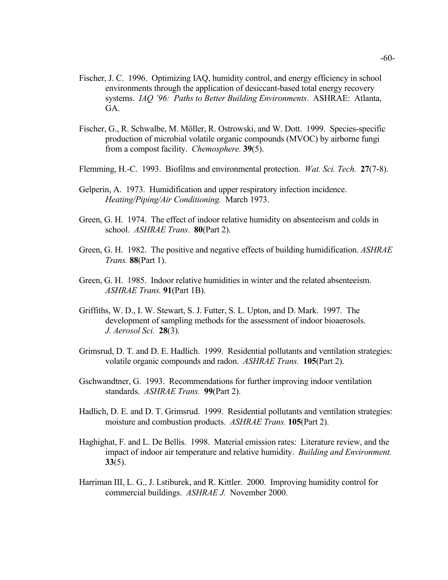- Fischer, J. C. 1996. Optimizing IAQ, humidity control, and energy efficiency in school environments through the application of desiccant-based total energy recovery systems. *IAQ '96: Paths to Better Building Environments*. ASHRAE: Atlanta, GA.
- Fischer, G., R. Schwalbe, M. Möller, R. Ostrowski, and W. Dott. 1999. Species-specific production of microbial volatile organic compounds (MVOC) by airborne fungi from a compost facility. *Chemosphere.* **39**(5).
- Flemming, H.-C. 1993. Biofilms and environmental protection. *Wat. Sci. Tech.* **27**(7-8).
- Gelperin, A. 1973. Humidification and upper respiratory infection incidence. *Heating/Piping/Air Conditioning.* March 1973.
- Green, G. H. 1974. The effect of indoor relative humidity on absenteeism and colds in school. *ASHRAE Trans*. **80**(Part 2).
- Green, G. H. 1982. The positive and negative effects of building humidification. *ASHRAE Trans.* **88**(Part 1).
- Green, G. H. 1985. Indoor relative humidities in winter and the related absenteeism. *ASHRAE Trans.* **91**(Part 1B).
- *J. Aerosol Sci.* **28**(3). Griffiths, W. D., I. W. Stewart, S. J. Futter, S. L. Upton, and D. Mark. 1997. The development of sampling methods for the assessment of indoor bioaerosols.
- volatile organic compounds and radon. *ASHRAE Trans.* **105**(Part 2). Grimsrud, D. T. and D. E. Hadlich. 1999. Residential pollutants and ventilation strategies:
- standards. *ASHRAE Trans.* **99**(Part 2). Gschwandtner, G. 1993. Recommendations for further improving indoor ventilation
- Hadlich, D. E. and D. T. Grimsrud. 1999. Residential pollutants and ventilation strategies: moisture and combustion products. *ASHRAE Trans.* **105**(Part 2).
- impact of indoor air temperature and relative humidity. *Building and Environment.* Haghighat, F. and L. De Bellis. 1998. Material emission rates: Literature review, and the **33**(5).
- Harriman III, L. G., J. Lstiburek, and R. Kittler. 2000. Improving humidity control for commercial buildings. *ASHRAE J.* November 2000.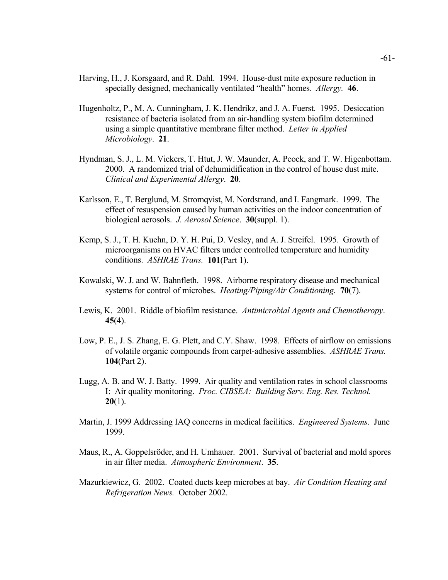- specially designed, mechanically ventilated "health" homes. *Allergy.* **46**. Harving, H., J. Korsgaard, and R. Dahl. 1994. House-dust mite exposure reduction in
- Hugenholtz, P., M. A. Cunningham, J. K. Hendrikz, and J. A. Fuerst. 1995. Desiccation resistance of bacteria isolated from an air-handling system biofilm determined using a simple quantitative membrane filter method. *Letter in Applied Microbiology*. **21**.
- Hyndman, S. J., L. M. Vickers, T. Htut, J. W. Maunder, A. Peock, and T. W. Higenbottam. 2000. A randomized trial of dehumidification in the control of house dust mite. *Clinical and Experimental Allergy*. **20**.
- Karlsson, E., T. Berglund, M. Stromqvist, M. Nordstrand, and I. Fangmark. 1999. The effect of resuspension caused by human activities on the indoor concentration of biological aerosols. *J. Aerosol Science*. **30**(suppl. 1).
- conditions. *ASHRAE Trans.* **101**(Part 1). Kemp, S. J., T. H. Kuehn, D. Y. H. Pui, D. Vesley, and A. J. Streifel. 1995. Growth of microorganisms on HVAC filters under controlled temperature and humidity
- systems for control of microbes. *Heating/Piping/Air Conditioning.* **70**(7). Kowalski, W. J. and W. Bahnfleth. 1998. Airborne respiratory disease and mechanical
- Lewis, K. 2001. Riddle of biofilm resistance. *Antimicrobial Agents and Chemotheropy*. **45**(4).
- of volatile organic compounds from carpet-adhesive assemblies. *ASHRAE Trans.* Low, P. E., J. S. Zhang, E. G. Plett, and C.Y. Shaw. 1998. Effects of airflow on emissions **104**(Part 2).
- I: Air quality monitoring. *Proc. CIBSEA: Building Serv. Eng. Res. Technol.* Lugg, A. B. and W. J. Batty. 1999. Air quality and ventilation rates in school classrooms **20**(1).
- Martin, J. 1999 Addressing IAQ concerns in medical facilities. *Engineered Systems*. June 1999.
- Maus, R., A. Goppelsröder, and H. Umhauer. 2001. Survival of bacterial and mold spores in air filter media. *Atmospheric Environment*. **35**.
- Mazurkiewicz, G. 2002. Coated ducts keep microbes at bay. *Air Condition Heating and Refrigeration News.* October 2002.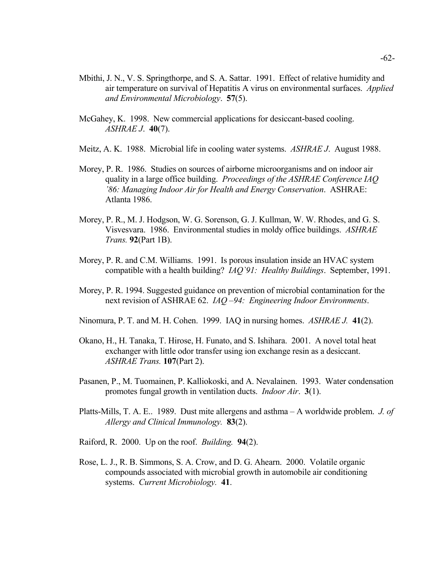- Mbithi, J. N., V. S. Springthorpe, and S. A. Sattar. 1991. Effect of relative humidity and air temperature on survival of Hepatitis A virus on environmental surfaces. *Applied and Environmental Microbiology*. **57**(5).
- McGahey, K. 1998. New commercial applications for desiccant-based cooling. *ASHRAE J*. **40**(7).
- Meitz, A. K. 1988. Microbial life in cooling water systems. *ASHRAE J*. August 1988.
- Morey, P. R. 1986. Studies on sources of airborne microorganisms and on indoor air quality in a large office building. *Proceedings of the ASHRAE Conference IAQ '86: Managing Indoor Air for Health and Energy Conservation*. ASHRAE: Atlanta 1986.
- Morey, P. R., M. J. Hodgson, W. G. Sorenson, G. J. Kullman, W. W. Rhodes, and G. S. Visvesvara. 1986. Environmental studies in moldy office buildings. *ASHRAE Trans.* **92**(Part 1B).
- Morey, P. R. and C.M. Williams. 1991. Is porous insulation inside an HVAC system compatible with a health building? *IAQ`91: Healthy Buildings*. September, 1991.
- Morey, P. R. 1994. Suggested guidance on prevention of microbial contamination for the next revision of ASHRAE 62. *IAQ –94: Engineering Indoor Environments*.
- Ninomura, P. T. and M. H. Cohen. 1999. IAQ in nursing homes. *ASHRAE J.* **41**(2).
- Okano, H., H. Tanaka, T. Hirose, H. Funato, and S. Ishihara. 2001. A novel total heat exchanger with little odor transfer using ion exchange resin as a desiccant. *ASHRAE Trans.* **107**(Part 2).
- Pasanen, P., M. Tuomainen, P. Kalliokoski, and A. Nevalainen. 1993. Water condensation promotes fungal growth in ventilation ducts. *Indoor Air*. **3**(1).
- *Allergy and Clinical Immunology.* **83**(2). Platts-Mills, T. A. E.. 1989. Dust mite allergens and asthma – A worldwide problem. *J. of*
- Raiford, R. 2000. Up on the roof. *Building.* **94**(2).
- systems. *Current Microbiology.* **41**. Rose, L. J., R. B. Simmons, S. A. Crow, and D. G. Ahearn. 2000. Volatile organic compounds associated with microbial growth in automobile air conditioning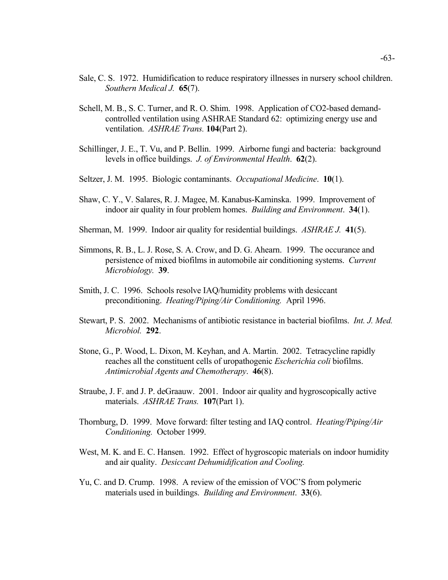- *Southern Medical J.* **65**(7). Sale, C. S. 1972. Humidification to reduce respiratory illnesses in nursery school children.
- Schell, M. B., S. C. Turner, and R. O. Shim. 1998. Application of CO2-based demandcontrolled ventilation using ASHRAE Standard 62: optimizing energy use and ventilation. *ASHRAE Trans.* **104**(Part 2).
- Schillinger, J. E., T. Vu, and P. Bellin. 1999. Airborne fungi and bacteria: background levels in office buildings. *J. of Environmental Health*. **62**(2).
- Seltzer, J. M. 1995. Biologic contaminants. *Occupational Medicine*. **10**(1).
- Shaw, C. Y., V. Salares, R. J. Magee, M. Kanabus-Kaminska. 1999. Improvement of indoor air quality in four problem homes. *Building and Environment*. **34**(1).
- Sherman, M. 1999. Indoor air quality for residential buildings. *ASHRAE J.* **41**(5).
- *Microbiology.* **39**. Simmons, R. B., L. J. Rose, S. A. Crow, and D. G. Ahearn. 1999. The occurance and persistence of mixed biofilms in automobile air conditioning systems. *Current*
- Smith, J. C. 1996. Schools resolve IAQ/humidity problems with desiccant preconditioning. *Heating/Piping/Air Conditioning.* April 1996.
- *Microbiol.* **292**. Stewart, P. S. 2002. Mechanisms of antibiotic resistance in bacterial biofilms. *Int. J. Med.*
- Stone, G., P. Wood, L. Dixon, M. Keyhan, and A. Martin. 2002. Tetracycline rapidly reaches all the constituent cells of uropathogenic *Escherichia coli* biofilms. *Antimicrobial Agents and Chemotherapy*. **46**(8).
- materials. *ASHRAE Trans.* **107**(Part 1). Straube, J. F. and J. P. deGraauw. 2001. Indoor air quality and hygroscopically active
- Thornburg, D. 1999. Move forward: filter testing and IAQ control. *Heating/Piping/Air Conditioning.* October 1999.
- West, M. K. and E. C. Hansen. 1992. Effect of hygroscopic materials on indoor humidity and air quality. *Desiccant Dehumidification and Cooling.*
- Yu, C. and D. Crump. 1998. A review of the emission of VOC'S from polymeric materials used in buildings. *Building and Environment*. **33**(6).